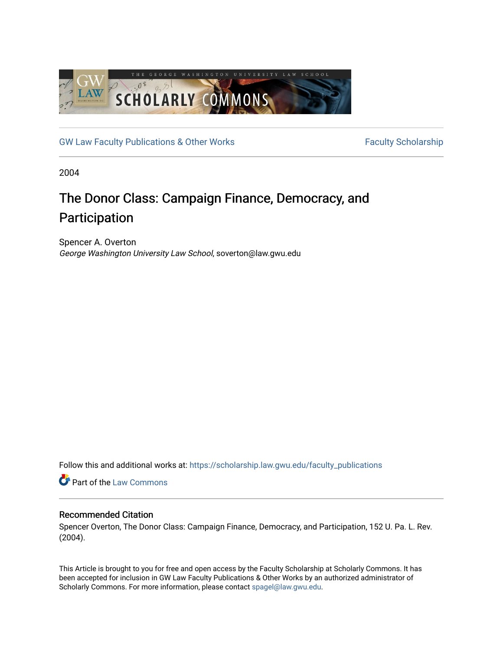

[GW Law Faculty Publications & Other Works](https://scholarship.law.gwu.edu/faculty_publications) Faculty Scholarship

2004

# The Donor Class: Campaign Finance, Democracy, and Participation

Spencer A. Overton George Washington University Law School, soverton@law.gwu.edu

Follow this and additional works at: [https://scholarship.law.gwu.edu/faculty\\_publications](https://scholarship.law.gwu.edu/faculty_publications?utm_source=scholarship.law.gwu.edu%2Ffaculty_publications%2F843&utm_medium=PDF&utm_campaign=PDFCoverPages) 

Part of the [Law Commons](http://network.bepress.com/hgg/discipline/578?utm_source=scholarship.law.gwu.edu%2Ffaculty_publications%2F843&utm_medium=PDF&utm_campaign=PDFCoverPages)

# Recommended Citation

Spencer Overton, The Donor Class: Campaign Finance, Democracy, and Participation, 152 U. Pa. L. Rev. (2004).

This Article is brought to you for free and open access by the Faculty Scholarship at Scholarly Commons. It has been accepted for inclusion in GW Law Faculty Publications & Other Works by an authorized administrator of Scholarly Commons. For more information, please contact [spagel@law.gwu.edu](mailto:spagel@law.gwu.edu).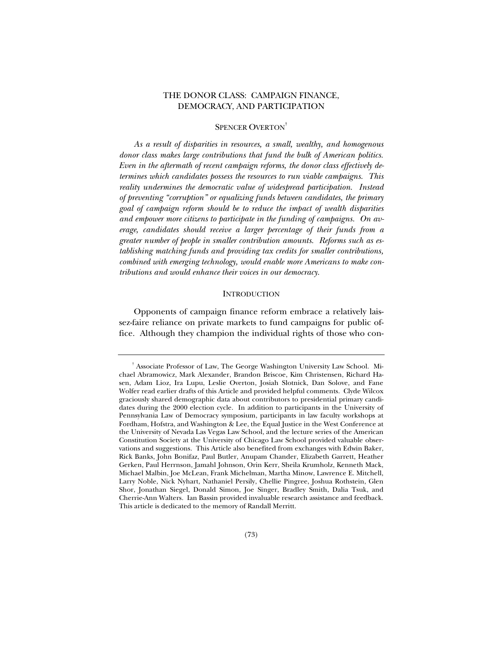## THE DONOR CLASS: CAMPAIGN FINANCE, DEMOCRACY, AND PARTICIPATION

## SPENCER OVERTON<sup>†</sup>

*As a result of disparities in resources, a small, wealthy, and homogenous donor class makes large contributions that fund the bulk of American politics. Even in the aftermath of recent campaign reforms, the donor class effectively determines which candidates possess the resources to run viable campaigns. This reality undermines the democratic value of widespread participation. Instead of preventing "corruption" or equalizing funds between candidates, the primary goal of campaign reform should be to reduce the impact of wealth disparities and empower more citizens to participate in the funding of campaigns. On average, candidates should receive a larger percentage of their funds from a greater number of people in smaller contribution amounts. Reforms such as establishing matching funds and providing tax credits for smaller contributions, combined with emerging technology, would enable more Americans to make contributions and would enhance their voices in our democracy.*

## **INTRODUCTION**

Opponents of campaign finance reform embrace a relatively laissez-faire reliance on private markets to fund campaigns for public office. Although they champion the individual rights of those who con-

<sup>†</sup> Associate Professor of Law, The George Washington University Law School. Michael Abramowicz, Mark Alexander, Brandon Briscoe, Kim Christensen, Richard Hasen, Adam Lioz, Ira Lupu, Leslie Overton, Josiah Slotnick, Dan Solove, and Fane Wolfer read earlier drafts of this Article and provided helpful comments. Clyde Wilcox graciously shared demographic data about contributors to presidential primary candidates during the 2000 election cycle. In addition to participants in the University of Pennsylvania Law of Democracy symposium, participants in law faculty workshops at Fordham, Hofstra, and Washington & Lee, the Equal Justice in the West Conference at the University of Nevada Las Vegas Law School, and the lecture series of the American Constitution Society at the University of Chicago Law School provided valuable observations and suggestions. This Article also benefited from exchanges with Edwin Baker, Rick Banks, John Bonifaz, Paul Butler, Anupam Chander, Elizabeth Garrett, Heather Gerken, Paul Herrnson, Jamahl Johnson, Orin Kerr, Sheila Krumholz, Kenneth Mack, Michael Malbin, Joe McLean, Frank Michelman, Martha Minow, Lawrence E. Mitchell, Larry Noble, Nick Nyhart, Nathaniel Persily, Chellie Pingree, Joshua Rothstein, Glen Shor, Jonathan Siegel, Donald Simon, Joe Singer, Bradley Smith, Dalia Tsuk, and Cherrie-Ann Walters. Ian Bassin provided invaluable research assistance and feedback. This article is dedicated to the memory of Randall Merritt.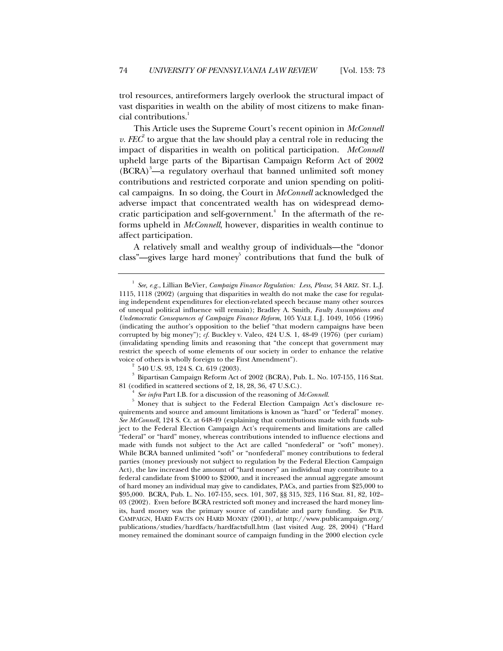trol resources, antireformers largely overlook the structural impact of vast disparities in wealth on the ability of most citizens to make financial contributions.<sup>1</sup>

This Article uses the Supreme Court's recent opinion in *McConnell v. FEC*<sup> $2$ </sup> to argue that the law should play a central role in reducing the impact of disparities in wealth on political participation. *McConnell* upheld large parts of the Bipartisan Campaign Reform Act of 2002  $(BCRA)^3$ —a regulatory overhaul that banned unlimited soft money contributions and restricted corporate and union spending on political campaigns. In so doing, the Court in *McConnell* acknowledged the adverse impact that concentrated wealth has on widespread democratic participation and self-government.<sup>4</sup> In the aftermath of the reforms upheld in *McConnell*, however, disparities in wealth continue to affect participation.

A relatively small and wealthy group of individuals—the "donor class"—gives large hard money $5$  contributions that fund the bulk of

<sup>1</sup> *See, e.g.*, Lillian BeVier, *Campaign Finance Regulation: Less, Please*, 34 ARIZ. ST. L.J. 1115, 1118 (2002) (arguing that disparities in wealth do not make the case for regulating independent expenditures for election-related speech because many other sources of unequal political influence will remain); Bradley A. Smith*, Faulty Assumptions and Undemocratic Consequences of Campaign Finance Reform*, 105 YALE L.J. 1049, 1056 (1996) (indicating the author's opposition to the belief "that modern campaigns have been corrupted by big money"); *cf.* Buckley v. Valeo, 424 U.S. 1, 48-49 (1976) (per curiam) (invalidating spending limits and reasoning that "the concept that government may restrict the speech of some elements of our society in order to enhance the relative voice of others is wholly foreign to the First Amendment").

<sup>2</sup> 540 U.S. 93, 124 S. Ct. 619 (2003).

 $^{\rm 3}$  Bipartisan Campaign Reform Act of 2002 (BCRA), Pub. L. No. 107-155, 116 Stat. 81 (codified in scattered sections of 2, 18, 28, 36, 47 U.S.C.).

<sup>4</sup> *See infra* Part I.B. for a discussion of the reasoning of *McConnell.*

<sup>5</sup> Money that is subject to the Federal Election Campaign Act's disclosure requirements and source and amount limitations is known as "hard" or "federal" money. *See McConnell*, 124 S. Ct. at 648-49 (explaining that contributions made with funds subject to the Federal Election Campaign Act's requirements and limitations are called "federal" or "hard" money, whereas contributions intended to influence elections and made with funds not subject to the Act are called "nonfederal" or "soft" money). While BCRA banned unlimited "soft" or "nonfederal" money contributions to federal parties (money previously not subject to regulation by the Federal Election Campaign Act), the law increased the amount of "hard money" an individual may contribute to a federal candidate from \$1000 to \$2000, and it increased the annual aggregate amount of hard money an individual may give to candidates, PACs, and parties from \$25,000 to \$95,000. BCRA, Pub. L. No. 107-155, secs. 101, 307, §§ 315, 323, 116 Stat. 81, 82, 102– 03 (2002). Even before BCRA restricted soft money and increased the hard money limits, hard money was the primary source of candidate and party funding. *See* PUB. CAMPAIGN, HARD FACTS ON HARD MONEY (2001), *at* http://www.publicampaign.org/ publications/studies/hardfacts/hardfactsfull.htm (last visited Aug. 28, 2004) ("Hard money remained the dominant source of campaign funding in the 2000 election cycle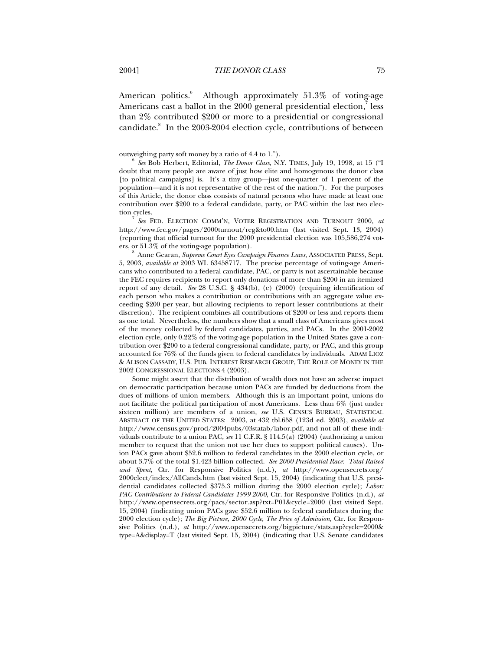American politics.<sup>6</sup> Although approximately 51.3% of voting-age Americans cast a ballot in the  $2000$  general presidential election, $\mathrm{^{7}}$  less than 2% contributed \$200 or more to a presidential or congressional candidate.<sup>8</sup> In the 2003-2004 election cycle, contributions of between

tion cycles. <sup>7</sup> *See* FED. ELECTION COMM'N, VOTER REGISTRATION AND TURNOUT 2000, *at* http://www.fec.gov/pages/2000turnout/reg&to00.htm (last visited Sept. 13, 2004) (reporting that official turnout for the 2000 presidential election was 105,586,274 voters, or 51.3% of the voting-age population).

<sup>8</sup> Anne Gearan, *Supreme Court Eyes Campaign Finance Laws*, ASSOCIATED PRESS, Sept. 5, 2003, *available at* 2003 WL 63458717. The precise percentage of voting-age Americans who contributed to a federal candidate, PAC, or party is not ascertainable because the FEC requires recipients to report only donations of more than \$200 in an itemized report of any detail. *See* 28 U.S.C. § 434(b), (e) (2000) (requiring identification of each person who makes a contribution or contributions with an aggregate value exceeding \$200 per year, but allowing recipients to report lesser contributions at their discretion). The recipient combines all contributions of \$200 or less and reports them as one total. Nevertheless, the numbers show that a small class of Americans gives most of the money collected by federal candidates, parties, and PACs. In the 2001-2002 election cycle, only 0.22% of the voting-age population in the United States gave a contribution over \$200 to a federal congressional candidate, party, or PAC, and this group accounted for 76% of the funds given to federal candidates by individuals. ADAM LIOZ & ALISON CASSADY, U.S. PUB. INTEREST RESEARCH GROUP, THE ROLE OF MONEY IN THE 2002 CONGRESSIONAL ELECTIONS 4 (2003).

Some might assert that the distribution of wealth does not have an adverse impact on democratic participation because union PACs are funded by deductions from the dues of millions of union members. Although this is an important point, unions do not facilitate the political participation of most Americans. Less than 6% (just under sixteen million) are members of a union, *see* U.S. CENSUS BUREAU, STATISTICAL ABSTRACT OF THE UNITED STATES: 2003, at 432 tbl.658 (123d ed. 2003), *available at* http://www.census.gov/prod/2004pubs/03statab/labor.pdf, and not all of these individuals contribute to a union PAC, *see* 11 C.F.R. § 114.5(a) (2004) (authorizing a union member to request that the union not use her dues to support political causes).Union PACs gave about \$52.6 million to federal candidates in the 2000 election cycle, or about 3.7% of the total \$1.423 billion collected. *See 2000 Presidential Race: Total Raised and Spent*, Ctr. for Responsive Politics (n.d.), *at* http://www.opensecrets.org/ 2000elect/index/AllCands.htm (last visited Sept. 15, 2004) (indicating that U.S. presidential candidates collected \$375.3 million during the 2000 election cycle); *Labor: PAC Contributions to Federal Candidates 1999-2000*, Ctr. for Responsive Politics (n.d.), *at* http://www.opensecrets.org/pacs/sector.asp?txt=P01&cycle=2000 (last visited Sept. 15, 2004) (indicating union PACs gave \$52.6 million to federal candidates during the 2000 election cycle); *The Big Picture, 2000 Cycle, The Price of Admission*, Ctr. for Responsive Politics (n.d.), *at* http://www.opensecrets.org/bigpicture/stats.asp?cycle=2000& type=A&display=T (last visited Sept. 15, 2004) (indicating that U.S. Senate candidates

outweighing party soft money by a ratio of 4.4 to 1.").

<sup>6</sup> *See* Bob Herbert, Editorial, *The Donor Class*, N.Y. TIMES, July 19, 1998, at 15 ("I doubt that many people are aware of just how elite and homogenous the donor class [to political campaigns] is. It's a tiny group—just one-quarter of 1 percent of the population—and it is not representative of the rest of the nation."). For the purposes of this Article, the donor class consists of natural persons who have made at least one contribution over \$200 to a federal candidate, party, or PAC within the last two elec-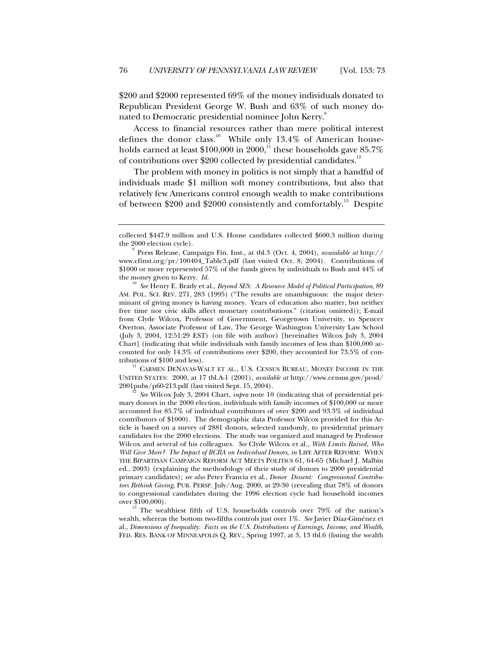\$200 and \$2000 represented 69% of the money individuals donated to Republican President George W. Bush and 63% of such money donated to Democratic presidential nominee John Kerry.<sup>9</sup>

Access to financial resources rather than mere political interest defines the donor class.<sup>10</sup> While only 13.4% of American households earned at least \$100,000 in 2000,<sup>11</sup> these households gave 85.7% of contributions over \$200 collected by presidential candidates.<sup>12</sup>

The problem with money in politics is not simply that a handful of individuals made \$1 million soft money contributions, but also that relatively few Americans control enough wealth to make contributions of between \$200 and \$2000 consistently and comfortably.<sup>13</sup> Despite

<sup>10</sup> *See* Henry E. Brady et al., *Beyond SES: A Resource Model of Political Participation*, 89 AM. POL. SCI. REV. 271, 283 (1995) ("The results are unambiguous: the major determinant of giving money is having money. Years of education also matter, but neither free time nor civic skills affect monetary contributions." (citation omitted)); E-mail from Clyde Wilcox, Professor of Government, Georgetown University, to Spencer Overton, Associate Professor of Law, The George Washington University Law School (July 3, 2004, 12:51:29 EST) (on file with author) [hereinafter Wilcox July 3, 2004 Chart] (indicating that while individuals with family incomes of less than \$100,000 accounted for only 14.3% of contributions over \$200, they accounted for 73.5% of con-

tributions of \$100 and less). 11 CARMEN DENAVAS-WALT ET AL., U.S. CENSUS BUREAU, MONEY INCOME IN THE UNITED STATES: 2000, at 17 tbl.A-1 (2001), *available at* http://www.census.gov/prod/ 2001pubs/p60-213.pdf (last visited Sept. 15, 2004).

<sup>12</sup> *See* Wilcox July 3, 2004 Chart, *supra* note 10 (indicating that of presidential primary donors in the 2000 election, individuals with family incomes of \$100,000 or more accounted for 85.7% of individual contributors of over \$200 and 93.3% of individual contributors of \$1000). The demographic data Professor Wilcox provided for this Article is based on a survey of 2881 donors, selected randomly, to presidential primary candidates for the 2000 elections. The study was organized and managed by Professor Wilcox and several of his colleagues. *See* Clyde Wilcox et al., *With Limits Raised, Who Will Give More? The Impact of BCRA on Individual Donors*, *in* LIFE AFTER REFORM: WHEN THE BIPARTISAN CAMPAIGN REFORM ACT MEETS POLITICS 61, 64-65 (Michael J. Malbin ed., 2003) (explaining the methodology of their study of donors to 2000 presidential primary candidates); *see also* Peter Francia et al., *Donor Dissent: Congressional Contributors Rethink Giving*, PUB. PERSP. July/Aug. 2000, at 29-30 (revealing that 78% of donors to congressional candidates during the 1996 election cycle had household incomes over \$100,000).

<sup>13</sup> The wealthiest fifth of U.S. households controls over 79% of the nation's wealth, whereas the bottom two-fifths controls just over 1%. *See* Javier Díaz-Giménez et al., *Dimensions of Inequality: Facts on the U.S. Distributions of Earnings, Income, and Wealth*, FED. RES. BANK OF MINNEAPOLIS Q. REV., Spring 1997, at 3, 13 tbl.6 (listing the wealth

collected \$447.9 million and U.S. House candidates collected \$600.3 million during the 2000 election cycle).

<sup>9</sup> Press Release, Campaign Fin. Inst., at tbl.3 (Oct. 4, 2004), *avaialable at* http:// www.cfinst.org/pr/100404\_Table3.pdf (last visited Oct. 8, 2004). Contributions of \$1000 or more represented 57% of the funds given by individuals to Bush and 44% of the money given to Kerry. *Id.*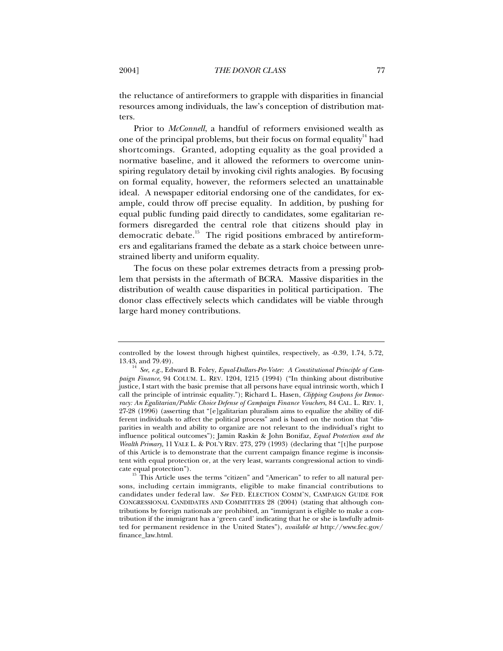the reluctance of antireformers to grapple with disparities in financial resources among individuals, the law's conception of distribution matters.

Prior to *McConnell*, a handful of reformers envisioned wealth as one of the principal problems, but their focus on formal equality<sup>14</sup> had shortcomings. Granted, adopting equality as the goal provided a normative baseline, and it allowed the reformers to overcome uninspiring regulatory detail by invoking civil rights analogies. By focusing on formal equality, however, the reformers selected an unattainable ideal. A newspaper editorial endorsing one of the candidates, for example, could throw off precise equality. In addition, by pushing for equal public funding paid directly to candidates, some egalitarian reformers disregarded the central role that citizens should play in democratic debate.<sup>15</sup> The rigid positions embraced by antireformers and egalitarians framed the debate as a stark choice between unrestrained liberty and uniform equality.

The focus on these polar extremes detracts from a pressing problem that persists in the aftermath of BCRA. Massive disparities in the distribution of wealth cause disparities in political participation. The donor class effectively selects which candidates will be viable through large hard money contributions.

controlled by the lowest through highest quintiles, respectively, as -0.39, 1.74, 5.72, 13.43, and 79.49).

<sup>14</sup> *See, e.g.*, Edward B. Foley, *Equal-Dollars-Per-Voter: A Constitutional Principle of Campaign Finance*, 94 COLUM. L. REV. 1204, 1215 (1994) ("In thinking about distributive justice, I start with the basic premise that all persons have equal intrinsic worth, which I call the principle of intrinsic equality."); Richard L. Hasen, *Clipping Coupons for Democracy: An Egalitarian/Public Choice Defense of Campaign Finance Vouchers*, 84 CAL. L. REV. 1, 27-28 (1996) (asserting that "[e]galitarian pluralism aims to equalize the ability of different individuals to affect the political process" and is based on the notion that "disparities in wealth and ability to organize are not relevant to the individual's right to influence political outcomes"); Jamin Raskin & John Bonifaz, *Equal Protection and the Wealth Primary,* 11 YALE L. & POL'Y REV. 273, 279 (1993) (declaring that "[t]he purpose of this Article is to demonstrate that the current campaign finance regime is inconsistent with equal protection or, at the very least, warrants congressional action to vindicate equal protection").<br><sup>15</sup> This Article uses the terms "citizen" and "American" to refer to all natural per-

sons, including certain immigrants, eligible to make financial contributions to candidates under federal law. *See* FED. ELECTION COMM'N, CAMPAIGN GUIDE FOR CONGRESSIONAL CANDIDATES AND COMMITTEES 28 (2004) (stating that although contributions by foreign nationals are prohibited, an "immigrant is eligible to make a contribution if the immigrant has a 'green card' indicating that he or she is lawfully admitted for permanent residence in the United States"), *available at* http://www.fec.gov/ finance\_law.html.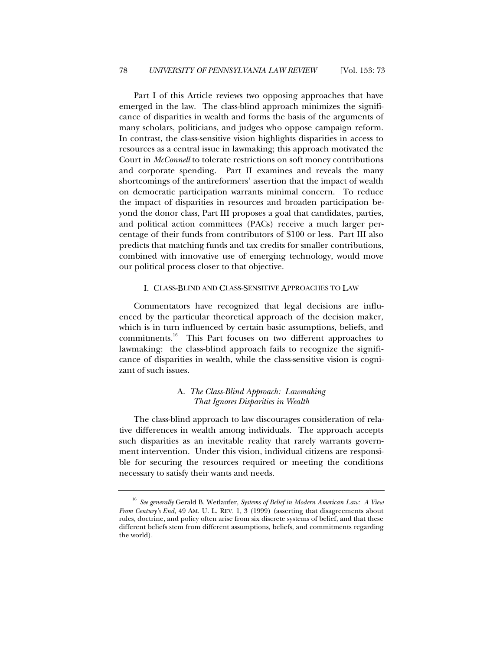Part I of this Article reviews two opposing approaches that have emerged in the law. The class-blind approach minimizes the significance of disparities in wealth and forms the basis of the arguments of many scholars, politicians, and judges who oppose campaign reform. In contrast, the class-sensitive vision highlights disparities in access to resources as a central issue in lawmaking; this approach motivated the Court in *McConnell* to tolerate restrictions on soft money contributions and corporate spending. Part II examines and reveals the many shortcomings of the antireformers' assertion that the impact of wealth on democratic participation warrants minimal concern. To reduce the impact of disparities in resources and broaden participation beyond the donor class, Part III proposes a goal that candidates, parties, and political action committees (PACs) receive a much larger percentage of their funds from contributors of \$100 or less. Part III also predicts that matching funds and tax credits for smaller contributions, combined with innovative use of emerging technology, would move our political process closer to that objective.

#### I. CLASS-BLIND AND CLASS-SENSITIVE APPROACHES TO LAW

Commentators have recognized that legal decisions are influenced by the particular theoretical approach of the decision maker, which is in turn influenced by certain basic assumptions, beliefs, and commitments.<sup>16</sup> This Part focuses on two different approaches to lawmaking: the class-blind approach fails to recognize the significance of disparities in wealth, while the class-sensitive vision is cognizant of such issues.

## A. *The Class-Blind Approach: Lawmaking That Ignores Disparities in Wealth*

The class-blind approach to law discourages consideration of relative differences in wealth among individuals. The approach accepts such disparities as an inevitable reality that rarely warrants government intervention. Under this vision, individual citizens are responsible for securing the resources required or meeting the conditions necessary to satisfy their wants and needs.

<sup>16</sup> *See generally* Gerald B. Wetlaufer, *Systems of Belief in Modern American Law: A View From Century's End*, 49 AM. U. L. REV. 1, 3 (1999) (asserting that disagreements about rules, doctrine, and policy often arise from six discrete systems of belief, and that these different beliefs stem from different assumptions, beliefs, and commitments regarding the world).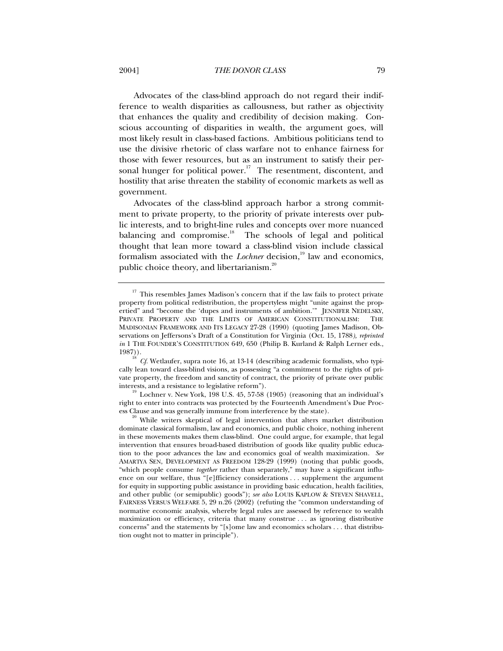Advocates of the class-blind approach do not regard their indifference to wealth disparities as callousness, but rather as objectivity that enhances the quality and credibility of decision making. Conscious accounting of disparities in wealth, the argument goes, will most likely result in class-based factions. Ambitious politicians tend to use the divisive rhetoric of class warfare not to enhance fairness for those with fewer resources, but as an instrument to satisfy their personal hunger for political power.<sup>17</sup> The resentment, discontent, and hostility that arise threaten the stability of economic markets as well as government.

Advocates of the class-blind approach harbor a strong commitment to private property, to the priority of private interests over public interests, and to bright-line rules and concepts over more nuanced balancing and compromise. $18$  The schools of legal and political thought that lean more toward a class-blind vision include classical formalism associated with the *Lochner* decision,<sup>19</sup> law and economics, public choice theory, and libertarianism.<sup>20</sup>

 $19$  Lochner v. New York,  $198$  U.S. 45, 57-58 (1905) (reasoning that an individual's right to enter into contracts was protected by the Fourteenth Amendment's Due Process Clause and was generally immune from interference by the state).

<sup>&</sup>lt;sup>17</sup> This resembles James Madison's concern that if the law fails to protect private property from political redistribution, the propertyless might "unite against the propertied" and "become the 'dupes and instruments of ambition.'" JENNIFER NEDELSKY, PRIVATE PROPERTY AND THE LIMITS OF AMERICAN CONSTITUTIONALISM: THE MADISONIAN FRAMEWORK AND ITS LEGACY 27-28 (1990) (quoting James Madison, Observations on Jeffersons's Draft of a Constitution for Virginia (Oct. 15, 1788*), reprinted in* 1 THE FOUNDER'S CONSTITUTION 649, 650 (Philip B. Kurland & Ralph Lerner eds., 1987)).

<sup>&</sup>lt;sup>18</sup> *Cf.* Wetlaufer, supra note 16, at 13-14 (describing academic formalists, who typically lean toward class-blind visions, as possessing "a commitment to the rights of private property, the freedom and sanctity of contract, the priority of private over public interests, and a resistance to legislative reform").

<sup>&</sup>lt;sup>20</sup> While writers skeptical of legal intervention that alters market distribution dominate classical formalism, law and economics, and public choice, nothing inherent in these movements makes them class-blind. One could argue, for example, that legal intervention that ensures broad-based distribution of goods like quality public education to the poor advances the law and economics goal of wealth maximization. *See* AMARTYA SEN, DEVELOPMENT AS FREEDOM 128-29 (1999) (noting that public goods, "which people consume *together* rather than separately," may have a significant influence on our welfare, thus "[e]fficiency considerations . . . supplement the argument for equity in supporting public assistance in providing basic education, health facilities, and other public (or semipublic) goods"); *see also* LOUIS KAPLOW & STEVEN SHAVELL, FAIRNESS VERSUS WELFARE 5, 29 n.26 (2002) (refuting the "common understanding of normative economic analysis, whereby legal rules are assessed by reference to wealth maximization or efficiency, criteria that many construe . . . as ignoring distributive concerns" and the statements by "[s]ome law and economics scholars . . . that distribution ought not to matter in principle").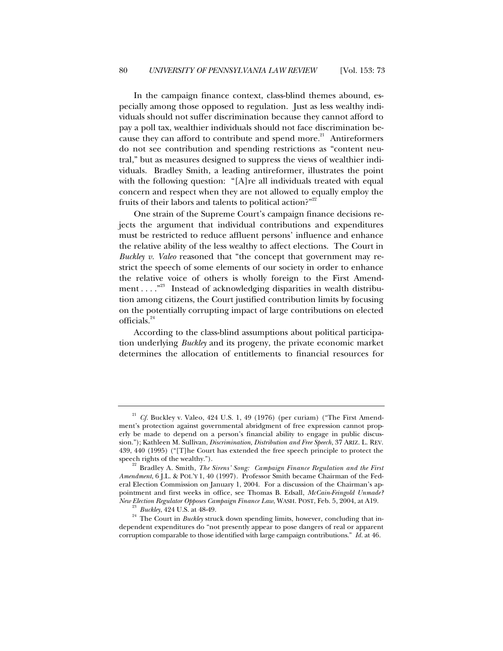In the campaign finance context, class-blind themes abound, especially among those opposed to regulation. Just as less wealthy individuals should not suffer discrimination because they cannot afford to pay a poll tax, wealthier individuals should not face discrimination because they can afford to contribute and spend more.<sup>21</sup> Antireformers do not see contribution and spending restrictions as "content neutral," but as measures designed to suppress the views of wealthier individuals. Bradley Smith, a leading antireformer, illustrates the point with the following question: "[A]re all individuals treated with equal concern and respect when they are not allowed to equally employ the fruits of their labors and talents to political action?"<sup>22</sup>

One strain of the Supreme Court's campaign finance decisions rejects the argument that individual contributions and expenditures must be restricted to reduce affluent persons' influence and enhance the relative ability of the less wealthy to affect elections. The Court in *Buckley v. Valeo* reasoned that "the concept that government may restrict the speech of some elements of our society in order to enhance the relative voice of others is wholly foreign to the First Amendment . . .  $.^{23}$  Instead of acknowledging disparities in wealth distribution among citizens, the Court justified contribution limits by focusing on the potentially corrupting impact of large contributions on elected officials.<sup>24</sup>

According to the class-blind assumptions about political participation underlying *Buckley* and its progeny, the private economic market determines the allocation of entitlements to financial resources for

<sup>&</sup>lt;sup>21</sup> *Cf.* Buckley v. Valeo, 424 U.S. 1, 49 (1976) (per curiam) ("The First Amendment's protection against governmental abridgment of free expression cannot properly be made to depend on a person's financial ability to engage in public discussion."); Kathleen M. Sullivan, *Discrimination, Distribution and Free Speech*, 37 ARIZ. L. REV. 439, 440 (1995) ("[T]he Court has extended the free speech principle to protect the

speech rights of the wealthy."). <sup>22</sup> Bradley A. Smith, *The Sirens' Song: Campaign Finance Regulation and the First Amendment*, 6 J.L. & POL'Y 1, 40 (1997). Professor Smith became Chairman of the Federal Election Commission on January 1, 2004. For a discussion of the Chairman's appointment and first weeks in office, see Thomas B. Edsall, *McCain-Feingold Unmade? New Election Regulator Opposes Campaign Finance Law*, WASH. POST, Feb. 5, 2004, at A19. <sup>23</sup> *Buckley*, 424 U.S. at 48-49.

<sup>&</sup>lt;sup>24</sup> The Court in *Buckley* struck down spending limits, however, concluding that independent expenditures do "not presently appear to pose dangers of real or apparent corruption comparable to those identified with large campaign contributions." *Id.* at 46.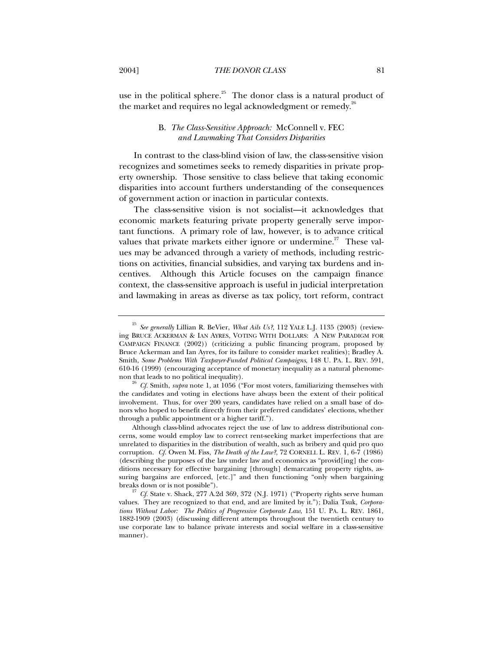use in the political sphere.<sup>25</sup> The donor class is a natural product of

the market and requires no legal acknowledgment or remedy.<sup>26</sup>

## B. *The Class-Sensitive Approach:* McConnell v. FEC *and Lawmaking That Considers Disparities*

In contrast to the class-blind vision of law, the class-sensitive vision recognizes and sometimes seeks to remedy disparities in private property ownership. Those sensitive to class believe that taking economic disparities into account furthers understanding of the consequences of government action or inaction in particular contexts.

The class-sensitive vision is not socialist—it acknowledges that economic markets featuring private property generally serve important functions. A primary role of law, however, is to advance critical values that private markets either ignore or undermine.<sup>27</sup> These values may be advanced through a variety of methods, including restrictions on activities, financial subsidies, and varying tax burdens and incentives. Although this Article focuses on the campaign finance context, the class-sensitive approach is useful in judicial interpretation and lawmaking in areas as diverse as tax policy, tort reform, contract

<sup>25</sup> *See generally* Lillian R. BeVier, *What Ails Us?*, 112 YALE L.J. 1135 (2003) (reviewing BRUCE ACKERMAN & IAN AYRES, VOTING WITH DOLLARS: A NEW PARADIGM FOR CAMPAIGN FINANCE (2002)) (criticizing a public financing program, proposed by Bruce Ackerman and Ian Ayres, for its failure to consider market realities); Bradley A. Smith, *Some Problems With Taxpayer-Funded Political Campaigns*, 148 U. PA. L. REV. 591, 610-16 (1999) (encouraging acceptance of monetary inequality as a natural phenomenon that leads to no political inequality).

<sup>26</sup> *Cf.* Smith, *supra* note 1, at 1056 ("For most voters, familiarizing themselves with the candidates and voting in elections have always been the extent of their political involvement. Thus, for over 200 years, candidates have relied on a small base of donors who hoped to benefit directly from their preferred candidates' elections, whether through a public appointment or a higher tariff.").

Although class-blind advocates reject the use of law to address distributional concerns, some would employ law to correct rent-seeking market imperfections that are unrelated to disparities in the distribution of wealth, such as bribery and quid pro quo corruption. *Cf.* Owen M. Fiss, *The Death of the Law?*, 72 CORNELL L. REV. 1, 6-7 (1986) (describing the purposes of the law under law and economics as "provid[ing] the conditions necessary for effective bargaining [through] demarcating property rights, assuring bargains are enforced, [etc.]" and then functioning "only when bargaining breaks down or is not possible").

<sup>27</sup> *Cf.* State v. Shack, 277 A.2d 369, 372 (N.J. 1971) ("Property rights serve human values. They are recognized to that end, and are limited by it."); Dalia Tsuk, *Corporations Without Labor: The Politics of Progressive Corporate Law*, 151 U. PA. L. REV. 1861, 1882-1909 (2003) (discussing different attempts throughout the twentieth century to use corporate law to balance private interests and social welfare in a class-sensitive manner).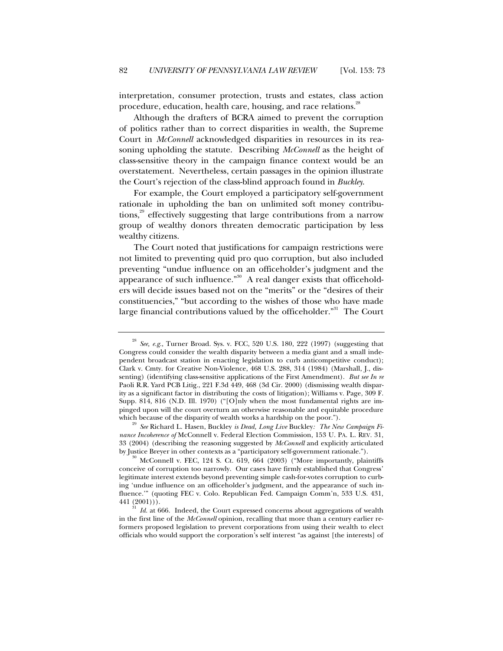interpretation, consumer protection, trusts and estates, class action procedure, education, health care, housing, and race relations.<sup>28</sup>

Although the drafters of BCRA aimed to prevent the corruption of politics rather than to correct disparities in wealth, the Supreme Court in *McConnell* acknowledged disparities in resources in its reasoning upholding the statute. Describing *McConnell* as the height of class-sensitive theory in the campaign finance context would be an overstatement. Nevertheless, certain passages in the opinion illustrate the Court's rejection of the class-blind approach found in *Buckley*.

For example, the Court employed a participatory self-government rationale in upholding the ban on unlimited soft money contributions, $29$  effectively suggesting that large contributions from a narrow group of wealthy donors threaten democratic participation by less wealthy citizens.

The Court noted that justifications for campaign restrictions were not limited to preventing quid pro quo corruption, but also included preventing "undue influence on an officeholder's judgment and the appearance of such influence."<sup>30</sup> A real danger exists that officeholders will decide issues based not on the "merits" or the "desires of their constituencies," "but according to the wishes of those who have made large financial contributions valued by the officeholder."<sup>31</sup> The Court

<sup>28</sup> *See, e.g.*, Turner Broad. Sys. v. FCC, 520 U.S. 180, 222 (1997) (suggesting that Congress could consider the wealth disparity between a media giant and a small independent broadcast station in enacting legislation to curb anticompetitive conduct); Clark v. Cmty. for Creative Non-Violence, 468 U.S. 288, 314 (1984) (Marshall, J., dissenting) (identifying class-sensitive applications of the First Amendment). *But see In re* Paoli R.R. Yard PCB Litig., 221 F.3d 449, 468 (3d Cir. 2000) (dismissing wealth disparity as a significant factor in distributing the costs of litigation); Williams v. Page, 309 F. Supp. 814, 816 (N.D. Ill. 1970) ("[O]nly when the most fundamental rights are impinged upon will the court overturn an otherwise reasonable and equitable procedure which because of the disparity of wealth works a hardship on the poor.").

<sup>29</sup> *See* Richard L. Hasen, Buckley *is Dead, Long Live* Buckley*: The New Campaign Finance Incoherence of* McConnell v. Federal Election Commission, 153 U. PA. L. REV. 31, 33 (2004) (describing the reasoning suggested by *McConnell* and explicitly articulated by Justice Breyer in other contexts as a "participatory self-government rationale.").<br><sup>30</sup> McConnell v. FEC, 124 S. Ct. 619, 664 (2003) ("More importantly, plaintiffs

conceive of corruption too narrowly. Our cases have firmly established that Congress' legitimate interest extends beyond preventing simple cash-for-votes corruption to curbing 'undue influence on an officeholder's judgment, and the appearance of such influence.'" (quoting FEC v. Colo. Republican Fed. Campaign Comm'n, 533 U.S. 431, 441 (2001))).

Id. at 666. Indeed, the Court expressed concerns about aggregations of wealth in the first line of the *McConnell* opinion, recalling that more than a century earlier reformers proposed legislation to prevent corporations from using their wealth to elect officials who would support the corporation's self interest "as against [the interests] of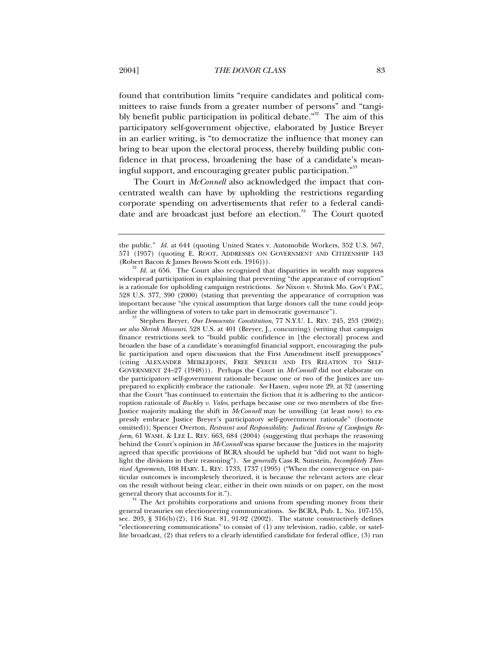found that contribution limits "require candidates and political committees to raise funds from a greater number of persons" and "tangibly benefit public participation in political debate."<sup>32</sup> The aim of this participatory self-government objective, elaborated by Justice Breyer in an earlier writing, is "to democratize the influence that money can bring to bear upon the electoral process, thereby building public confidence in that process, broadening the base of a candidate's meaningful support, and encouraging greater public participation."<sup>33</sup>

The Court in *McConnell* also acknowledged the impact that concentrated wealth can have by upholding the restrictions regarding corporate spending on advertisements that refer to a federal candidate and are broadcast just before an election.<sup>34</sup> The Court quoted

<sup>33</sup> Stephen Breyer, *Our Democratic Constitution*, 77 N.Y.U. L. REV. 245, 253 (2002); *see also Shrink Missouri*, 528 U.S. at 401 (Breyer, J., concurring) (writing that campaign finance restrictions seek to "build public confidence in [the electoral] process and broaden the base of a candidate's meaningful financial support, encouraging the public participation and open discussion that the First Amendment itself presupposes" (citing ALEXANDER MEIKLEJOHN, FREE SPEECH AND ITS RELATION TO SELF-GOVERNMENT 24–27 (1948))). Perhaps the Court in *McConnell* did not elaborate on the participatory self-government rationale because one or two of the Justices are unprepared to explicitly embrace the rationale. *See* Hasen, *supra* note 29, at 32 (asserting that the Court "has continued to entertain the fiction that it is adhering to the anticorruption rationale of *Buckley v. Valeo*, perhaps because one or two members of the five-Justice majority making the shift in *McConnell* may be unwilling (at least now) to expressly embrace Justice Breyer's participatory self-government rationale" (footnote omitted)); Spencer Overton, *Restraint and Responsibility: Judicial Review of Campaign Reform*, 61 WASH. & LEE L. REV. 663, 684 (2004) (suggesting that perhaps the reasoning behind the Court's opinion in *McConnell* was sparse because the Justices in the majority agreed that specific provisions of BCRA should be upheld but "did not want to highlight the divisions in their reasoning"). *See generally* Cass R. Sunstein, *Incompletely Theorized Agreements*, 108 HARV. L. REV. 1733, 1737 (1995) ("When the convergence on particular outcomes is incompletely theorized, it is because the relevant actors are clear on the result without being clear, either in their own minds or on paper, on the most

general theory that accounts for it."). <sup>34</sup> The Act prohibits corporations and unions from spending money from their general treasuries on electioneering communications. *See* BCRA, Pub. L. No. 107-155, sec.  $203, \, \frac{8}{316(b)(2)}$ , 116 Stat. 81, 91-92 (2002). The statute constructively defines "electioneering communications" to consist of (1) any television, radio, cable, or satellite broadcast, (2) that refers to a clearly identified candidate for federal office, (3) run

the public." *Id.* at 644 (quoting United States v. Automobile Workers, 352 U.S. 567, 571 (1957) (quoting E. ROOT, ADDRESSES ON GOVERNMENT AND CITIZENSHIP 143 (Robert Bacon & James Brown Scott eds. 1916))). <sup>32</sup> *Id.* at 656. The Court also recognized that disparities in wealth may suppress

widespread participation in explaining that preventing "the appearance of corruption" is a rationale for upholding campaign restrictions. *See* Nixon v. Shrink Mo. Gov't PAC, 528 U.S. 377, 390 (2000) (stating that preventing the appearance of corruption was important because "the cynical assumption that large donors call the tune could jeopardize the willingness of voters to take part in democratic governance").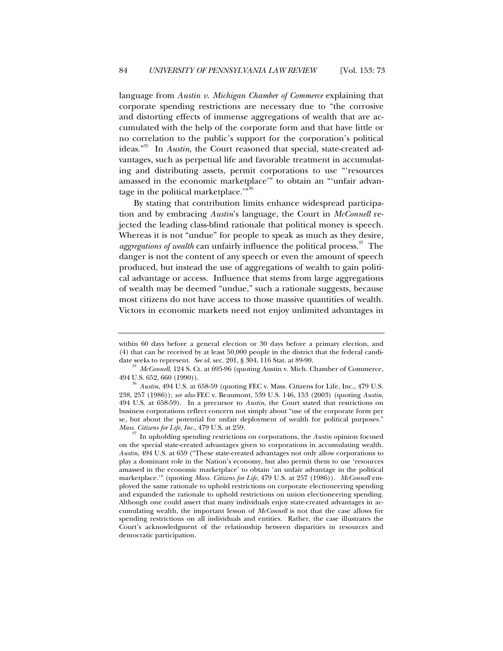language from *Austin v. Michigan Chamber of Commerce* explaining that corporate spending restrictions are necessary due to "the corrosive and distorting effects of immense aggregations of wealth that are accumulated with the help of the corporate form and that have little or no correlation to the public's support for the corporation's political ideas."35 In *Austin*, the Court reasoned that special, state-created advantages, such as perpetual life and favorable treatment in accumulating and distributing assets, permit corporations to use "'resources amassed in the economic marketplace'" to obtain an "'unfair advantage in the political marketplace.'"36

By stating that contribution limits enhance widespread participation and by embracing *Austin*'s language, the Court in *McConnell* rejected the leading class-blind rationale that political money is speech. Whereas it is not "undue" for people to speak as much as they desire, *aggregations of wealth* can unfairly influence the political process.<sup>37</sup> The danger is not the content of any speech or even the amount of speech produced, but instead the use of aggregations of wealth to gain political advantage or access. Influence that stems from large aggregations of wealth may be deemed "undue," such a rationale suggests, because most citizens do not have access to those massive quantities of wealth. Victors in economic markets need not enjoy unlimited advantages in

within 60 days before a general election or 30 days before a primary election, and (4) that can be received by at least 50,000 people in the district that the federal candi-

date seeks to represent. *See id.* sec. 201, § 304, 116 Stat. at 89-90.<br><sup>35</sup> *McConnell*, 124 S. Ct. at 695-96 (quoting Austin v. Mich. Chamber of Commerce, 494 U.S. 652, 660 (1990)). <sup>36</sup> *Austin*, 494 U.S. at 658-59 (quoting FEC v. Mass. Citizens for Life, Inc., 479 U.S.

<sup>238, 257 (1986));</sup> *see also* FEC v. Beaumont, 539 U.S. 146, 153 (2003) (quoting *Austin*, 494 U.S. at 658-59). In a precursor to *Austin*, the Court stated that restrictions on business corporations reflect concern not simply about "use of the corporate form per se, but about the potential for unfair deployment of wealth for political purposes." *Mass. Citizens for Life, Inc.*, 479 U.S. at 259.

<sup>&</sup>lt;sup>37</sup> In upholding spending restrictions on corporations, the *Austin* opinion focused on the special state-created advantages given to corporations in accumulating wealth. *Austin*, 494 U.S. at 659 ("These state-created advantages not only allow corporations to play a dominant role in the Nation's economy, but also permit them to use 'resources amassed in the economic marketplace' to obtain 'an unfair advantage in the political marketplace.'" (quoting *Mass. Citizens for Life*, 479 U.S. at 257 (1986)). *McConnell* employed the same rationale to uphold restrictions on corporate electioneering spending and expanded the rationale to uphold restrictions on union electioneering spending. Although one could assert that many individuals enjoy state-created advantages in accumulating wealth, the important lesson of *McConnell* is not that the case allows for spending restrictions on all individuals and entities. Rather, the case illustrates the Court's acknowledgment of the relationship between disparities in resources and democratic participation.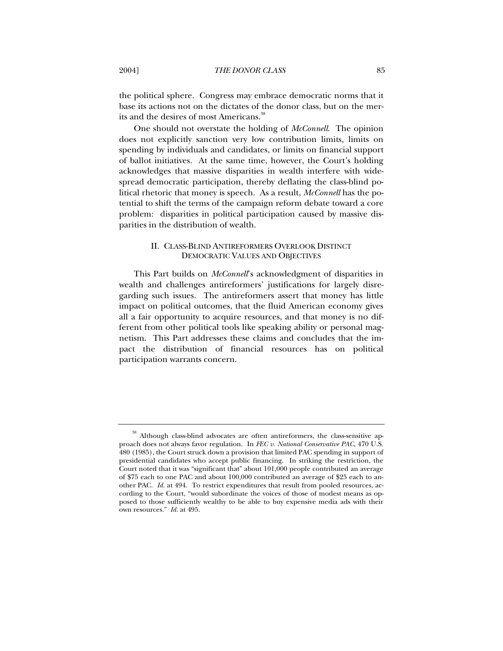the political sphere. Congress may embrace democratic norms that it base its actions not on the dictates of the donor class, but on the merits and the desires of most Americans.<sup>38</sup>

One should not overstate the holding of *McConnell*. The opinion does not explicitly sanction very low contribution limits, limits on spending by individuals and candidates, or limits on financial support of ballot initiatives. At the same time, however, the Court's holding acknowledges that massive disparities in wealth interfere with widespread democratic participation, thereby deflating the class-blind political rhetoric that money is speech. As a result, *McConnell* has the potential to shift the terms of the campaign reform debate toward a core problem: disparities in political participation caused by massive disparities in the distribution of wealth.

## II. CLASS-BLIND ANTIREFORMERS OVERLOOK DISTINCT DEMOCRATIC VALUES AND OBJECTIVES

This Part builds on *McConnell*'s acknowledgment of disparities in wealth and challenges antireformers' justifications for largely disregarding such issues. The antireformers assert that money has little impact on political outcomes, that the fluid American economy gives all a fair opportunity to acquire resources, and that money is no different from other political tools like speaking ability or personal magnetism. This Part addresses these claims and concludes that the impact the distribution of financial resources has on political participation warrants concern.

<sup>38</sup> Although class-blind advocates are often antireformers, the class-sensitive approach does not always favor regulation. In *FEC v. National Conservative PAC*, 470 U.S. 480 (1985), the Court struck down a provision that limited PAC spending in support of presidential candidates who accept public financing. In striking the restriction, the Court noted that it was "significant that" about 101,000 people contributed an average of \$75 each to one PAC and about 100,000 contributed an average of \$25 each to another PAC. *Id.* at 494. To restrict expenditures that result from pooled resources, according to the Court, "would subordinate the voices of those of modest means as opposed to those sufficiently wealthy to be able to buy expensive media ads with their own resources." *Id.* at 495.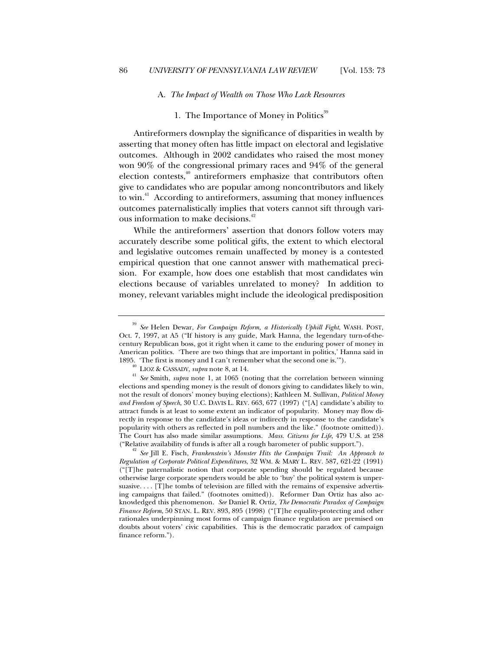#### A. *The Impact of Wealth on Those Who Lack Resources*

## 1. The Importance of Money in Politics<sup>39</sup>

Antireformers downplay the significance of disparities in wealth by asserting that money often has little impact on electoral and legislative outcomes. Although in 2002 candidates who raised the most money won 90% of the congressional primary races and 94% of the general election contests, $40$  antireformers emphasize that contributors often give to candidates who are popular among noncontributors and likely to win.<sup>41</sup> According to antireformers, assuming that money influences outcomes paternalistically implies that voters cannot sift through various information to make decisions.<sup>42</sup>

While the antireformers' assertion that donors follow voters may accurately describe some political gifts, the extent to which electoral and legislative outcomes remain unaffected by money is a contested empirical question that one cannot answer with mathematical precision. For example, how does one establish that most candidates win elections because of variables unrelated to money? In addition to money, relevant variables might include the ideological predisposition

<sup>39</sup> *See* Helen Dewar, *For Campaign Reform, a Historically Uphill Fight*, WASH. POST, Oct. 7, 1997, at A5 ("If history is any guide, Mark Hanna, the legendary turn-of-thecentury Republican boss, got it right when it came to the enduring power of money in American politics. 'There are two things that are important in politics,' Hanna said in 1895. 'The first is money and I can't remember what the second one is.'"). <sup>40</sup> LIOZ & CASSADY, *supra* note 8, at 14.

<sup>41</sup> *See* Smith, *supra* note 1, at 1065 (noting that the correlation between winning elections and spending money is the result of donors giving to candidates likely to win, not the result of donors' money buying elections); Kathleen M. Sullivan, *Political Money and Freedom of Speech*, 30 U.C. DAVIS L. REV. 663, 677 (1997) ("[A] candidate's ability to attract funds is at least to some extent an indicator of popularity. Money may flow directly in response to the candidate's ideas or indirectly in response to the candidate's popularity with others as reflected in poll numbers and the like." (footnote omitted)). The Court has also made similar assumptions. *Mass. Citizens for Life*, 479 U.S. at 258

<sup>(&</sup>quot;Relative availability of funds is after all a rough barometer of public support."). <sup>42</sup> *See* Jill E. Fisch, *Frankenstein's Monster Hits the Campaign Trail: An Approach to Regulation of Corporate Political Expenditures*, 32 WM. & MARY L. REV. 587, 621-22 (1991) ("[T]he paternalistic notion that corporate spending should be regulated because otherwise large corporate spenders would be able to 'buy' the political system is unpersuasive. . . . [T]he tombs of television are filled with the remains of expensive advertising campaigns that failed." (footnotes omitted)). Reformer Dan Ortiz has also acknowledged this phenomenon. *See* Daniel R. Ortiz, *The Democratic Paradox of Campaign Finance Reform*, 50 STAN. L. REV. 893, 895 (1998) ("[T]he equality-protecting and other rationales underpinning most forms of campaign finance regulation are premised on doubts about voters' civic capabilities. This is the democratic paradox of campaign finance reform.").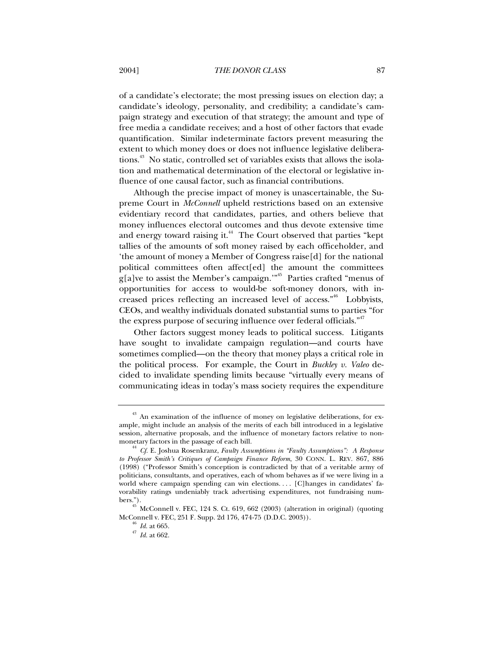of a candidate's electorate; the most pressing issues on election day; a candidate's ideology, personality, and credibility; a candidate's campaign strategy and execution of that strategy; the amount and type of free media a candidate receives; and a host of other factors that evade quantification. Similar indeterminate factors prevent measuring the extent to which money does or does not influence legislative deliberations.43 No static, controlled set of variables exists that allows the isolation and mathematical determination of the electoral or legislative influence of one causal factor, such as financial contributions.

Although the precise impact of money is unascertainable, the Supreme Court in *McConnell* upheld restrictions based on an extensive evidentiary record that candidates, parties, and others believe that money influences electoral outcomes and thus devote extensive time and energy toward raising it.<sup>44</sup> The Court observed that parties "kept tallies of the amounts of soft money raised by each officeholder, and 'the amount of money a Member of Congress raise[d] for the national political committees often affect[ed] the amount the committees  $g[a]$ ve to assist the Member's campaign."<sup>45</sup> Parties crafted "menus of opportunities for access to would-be soft-money donors, with increased prices reflecting an increased level of access."<sup>46</sup> Lobbyists, CEOs, and wealthy individuals donated substantial sums to parties "for the express purpose of securing influence over federal officials."<sup>47</sup>

Other factors suggest money leads to political success. Litigants have sought to invalidate campaign regulation—and courts have sometimes complied—on the theory that money plays a critical role in the political process. For example, the Court in *Buckley v. Valeo* decided to invalidate spending limits because "virtually every means of communicating ideas in today's mass society requires the expenditure

<sup>&</sup>lt;sup>43</sup> An examination of the influence of money on legislative deliberations, for example, might include an analysis of the merits of each bill introduced in a legislative session, alternative proposals, and the influence of monetary factors relative to non-

monetary factors in the passage of each bill. <sup>44</sup> *Cf.* E. Joshua Rosenkranz, *Faulty Assumptions in "Faulty Assumptions": A Response to Professor Smith's Critiques of Campaign Finance Reform*, 30 CONN. L. REV. 867, 886 (1998) ("Professor Smith's conception is contradicted by that of a veritable army of politicians, consultants, and operatives, each of whom behaves as if we were living in a world where campaign spending can win elections.... [C]hanges in candidates' favorability ratings undeniably track advertising expenditures, not fundraising numbers.").

 $^{45}$  McConnell v. FEC, 124 S. Ct. 619, 662 (2003) (alteration in original) (quoting McConnell v. FEC, 251 F. Supp. 2d 176, 474-75 (D.D.C. 2003)).

<sup>46</sup> *Id.* at 665.

<sup>47</sup> *Id.* at 662.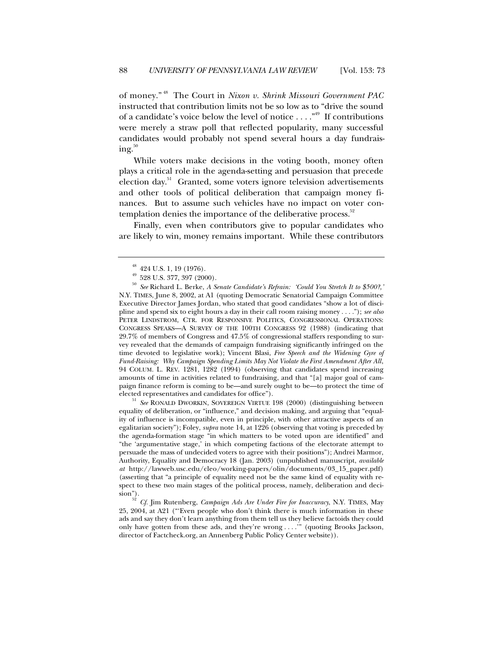of money." 48 The Court in *Nixon v. Shrink Missouri Government PAC* instructed that contribution limits not be so low as to "drive the sound of a candidate's voice below the level of notice  $\dots$ ."<sup>49</sup> If contributions were merely a straw poll that reflected popularity, many successful candidates would probably not spend several hours a day fundrais $ing.<sup>50</sup>$ 

While voters make decisions in the voting booth, money often plays a critical role in the agenda-setting and persuasion that precede election day.<sup>51</sup> Granted, some voters ignore television advertisements and other tools of political deliberation that campaign money finances. But to assume such vehicles have no impact on voter contemplation denies the importance of the deliberative process.<sup>52</sup>

Finally, even when contributors give to popular candidates who are likely to win, money remains important. While these contributors

<sup>51</sup> *See* RONALD DWORKIN, SOVEREIGN VIRTUE 198 (2000) (distinguishing between equality of deliberation, or "influence," and decision making, and arguing that "equality of influence is incompatible, even in principle, with other attractive aspects of an egalitarian society"); Foley, *supra* note 14, at 1226 (observing that voting is preceded by the agenda-formation stage "in which matters to be voted upon are identified" and "the 'argumentative stage,' in which competing factions of the electorate attempt to persuade the mass of undecided voters to agree with their positions"); Andrei Marmor, Authority, Equality and Democracy 18 (Jan. 2003) (unpublished manuscript, *available at* http://lawweb.usc.edu/cleo/working-papers/olin/documents/03\_15\_paper.pdf) (asserting that "a principle of equality need not be the same kind of equality with respect to these two main stages of the political process, namely, deliberation and decision"). <sup>52</sup> *Cf.* Jim Rutenberg, *Campaign Ads Are Under Fire for Inaccuracy*, N.Y. TIMES, May

25, 2004, at A21 ("'Even people who don't think there is much information in these ads and say they don't learn anything from them tell us they believe factoids they could only have gotten from these ads, and they're wrong . . . .'" (quoting Brooks Jackson, director of Factcheck.org, an Annenberg Public Policy Center website)).

 $^{48}$  424 U.S. 1, 19 (1976).

 $49\,$  528 U.S. 377, 397 (2000).

<sup>50</sup> *See* Richard L. Berke, *A Senate Candidate's Refrain: 'Could You Stretch It to \$500?,'* N.Y. TIMES, June 8, 2002, at A1 (quoting Democratic Senatorial Campaign Committee Executive Director James Jordan, who stated that good candidates "show a lot of discipline and spend six to eight hours a day in their call room raising money . . . ."); *see also* PETER LINDSTROM, CTR. FOR RESPONSIVE POLITICS, CONGRESSIONAL OPERATIONS: CONGRESS SPEAKS—A SURVEY OF THE 100TH CONGRESS 92 (1988) (indicating that 29.7% of members of Congress and 47.5% of congressional staffers responding to survey revealed that the demands of campaign fundraising significantly infringed on the time devoted to legislative work); Vincent Blasi, *Free Speech and the Widening Gyre of Fund-Raising: Why Campaign Spending Limits May Not Violate the First Amendment After All*, 94 COLUM. L. REV. 1281, 1282 (1994) (observing that candidates spend increasing amounts of time in activities related to fundraising, and that "[a] major goal of campaign finance reform is coming to be—and surely ought to be—to protect the time of elected representatives and candidates for office").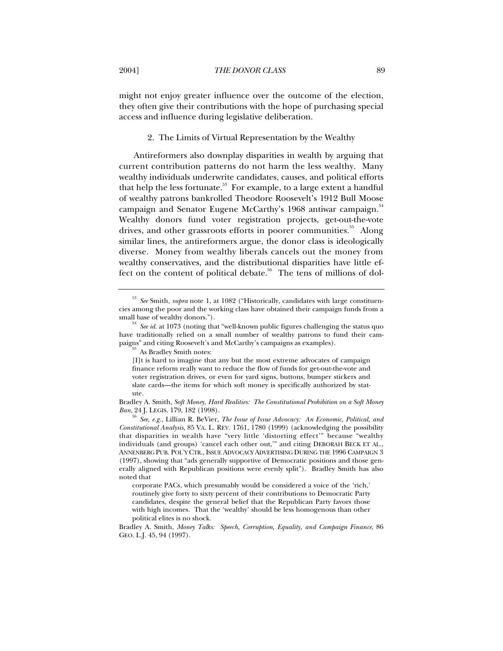might not enjoy greater influence over the outcome of the election, they often give their contributions with the hope of purchasing special access and influence during legislative deliberation.

#### 2. The Limits of Virtual Representation by the Wealthy

Antireformers also downplay disparities in wealth by arguing that current contribution patterns do not harm the less wealthy. Many wealthy individuals underwrite candidates, causes, and political efforts that help the less fortunate.<sup>53</sup> For example, to a large extent a handful of wealthy patrons bankrolled Theodore Roosevelt's 1912 Bull Moose campaign and Senator Eugene McCarthy's 1968 antiwar campaign.<sup>54</sup> Wealthy donors fund voter registration projects, get-out-the-vote drives, and other grassroots efforts in poorer communities.<sup>55</sup> Along similar lines, the antireformers argue, the donor class is ideologically diverse. Money from wealthy liberals cancels out the money from wealthy conservatives, and the distributional disparities have little effect on the content of political debate.<sup>56</sup> The tens of millions of dol-

<sup>53</sup> *See* Smith, *supra* note 1, at 1082 ("Historically, candidates with large constituencies among the poor and the working class have obtained their campaign funds from a small base of wealthy donors.").

<sup>&</sup>lt;sup>t</sup> See id. at 1073 (noting that "well-known public figures challenging the status quo have traditionally relied on a small number of wealthy patrons to fund their campaigns" and citing Roosevelt's and McCarthy's campaigns as examples).<br><sup>55</sup> As Bradley Smith notes:

<sup>[</sup>I]t is hard to imagine that any but the most extreme advocates of campaign finance reform really want to reduce the flow of funds for get-out-the-vote and voter registration drives, or even for yard signs, buttons, bumper stickers and slate cards—the items for which soft money is specifically authorized by statute.

Bradley A. Smith, *Soft Money, Hard Realities: The Constitutional Prohibition on a Soft Money Ban*, 24 J. LEGIS. 179, 182 (1998).

<sup>56</sup> *See, e.g.,* Lillian R. BeVier, *The Issue of Issue Advocacy: An Economic, Political, and Constitutional Analysis*, 85 VA. L. REV. 1761, 1780 (1999) (acknowledging the possibility that disparities in wealth have "very little 'distorting effect'" because "wealthy individuals (and groups) 'cancel each other out,'" and citing DEBORAH BECK ET AL., ANNENBERG PUB. POL'Y CTR., ISSUE ADVOCACY ADVERTISING DURING THE 1996 CAMPAIGN 3 (1997), showing that "ads generally supportive of Democratic positions and those generally aligned with Republican positions were evenly split"). Bradley Smith has also noted that

corporate PACs, which presumably would be considered a voice of the 'rich,' routinely give forty to sixty percent of their contributions to Democratic Party candidates, despite the general belief that the Republican Party favors those with high incomes. That the 'wealthy' should be less homogenous than other political elites is no shock.

Bradley A. Smith, *Money Talks: Speech, Corruption, Equality, and Campaign Finance*, 86 GEO. L.J. 45, 94 (1997).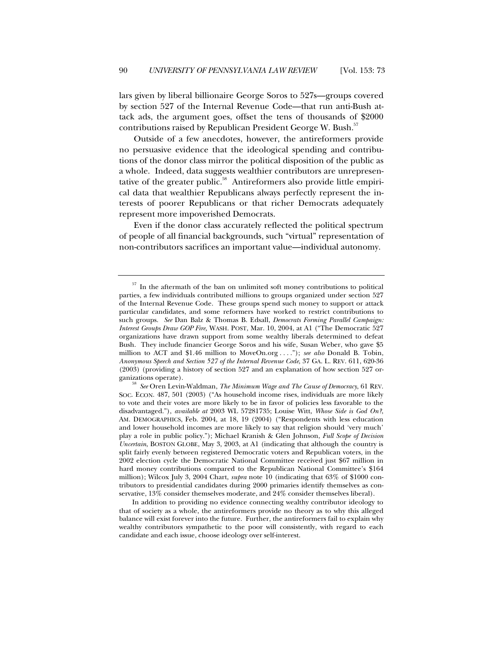lars given by liberal billionaire George Soros to 527s—groups covered by section 527 of the Internal Revenue Code—that run anti-Bush attack ads, the argument goes, offset the tens of thousands of \$2000 contributions raised by Republican President George W. Bush.<sup>57</sup>

Outside of a few anecdotes, however, the antireformers provide no persuasive evidence that the ideological spending and contributions of the donor class mirror the political disposition of the public as a whole. Indeed, data suggests wealthier contributors are unrepresentative of the greater public.<sup>58</sup> Antireformers also provide little empirical data that wealthier Republicans always perfectly represent the interests of poorer Republicans or that richer Democrats adequately represent more impoverished Democrats.

Even if the donor class accurately reflected the political spectrum of people of all financial backgrounds, such "virtual" representation of non-contributors sacrifices an important value—individual autonomy.

 $57$  In the aftermath of the ban on unlimited soft money contributions to political parties, a few individuals contributed millions to groups organized under section 527 of the Internal Revenue Code. These groups spend such money to support or attack particular candidates, and some reformers have worked to restrict contributions to such groups. *See* Dan Balz & Thomas B. Edsall, *Democrats Forming Parallel Campaign: Interest Groups Draw GOP Fire,* WASH. POST, Mar. 10, 2004, at A1 ("The Democratic 527 organizations have drawn support from some wealthy liberals determined to defeat Bush. They include financier George Soros and his wife, Susan Weber, who gave \$5 million to ACT and \$1.46 million to MoveOn.org . . . ."); *see also* Donald B. Tobin, *Anonymous Speech and Section 527 of the Internal Revenue Code*, 37 GA. L. REV. 611, 620-36 (2003) (providing a history of section 527 and an explanation of how section 527 or-

ganizations operate). <sup>58</sup> *See* Oren Levin-Waldman, *The Minimum Wage and The Cause of Democracy*, 61 REV. SOC. ECON. 487, 501 (2003) ("As household income rises, individuals are more likely to vote and their votes are more likely to be in favor of policies less favorable to the disadvantaged."), *available at* 2003 WL 57281735; Louise Witt, *Whose Side is God On?*, AM. DEMOGRAPHICS, Feb. 2004, at 18, 19 (2004) ("Respondents with less education and lower household incomes are more likely to say that religion should 'very much' play a role in public policy."); Michael Kranish & Glen Johnson, *Full Scope of Decision Uncertain*, BOSTON GLOBE, May 3, 2003, at A1 (indicating that although the country is split fairly evenly between registered Democratic voters and Republican voters, in the 2002 election cycle the Democratic National Committee received just \$67 million in hard money contributions compared to the Republican National Committee's \$164 million); Wilcox July 3, 2004 Chart, *supra* note 10 (indicating that 63% of \$1000 contributors to presidential candidates during 2000 primaries identify themselves as conservative, 13% consider themselves moderate, and 24% consider themselves liberal).

In addition to providing no evidence connecting wealthy contributor ideology to that of society as a whole, the antireformers provide no theory as to why this alleged balance will exist forever into the future. Further, the antireformers fail to explain why wealthy contributors sympathetic to the poor will consistently, with regard to each candidate and each issue, choose ideology over self-interest.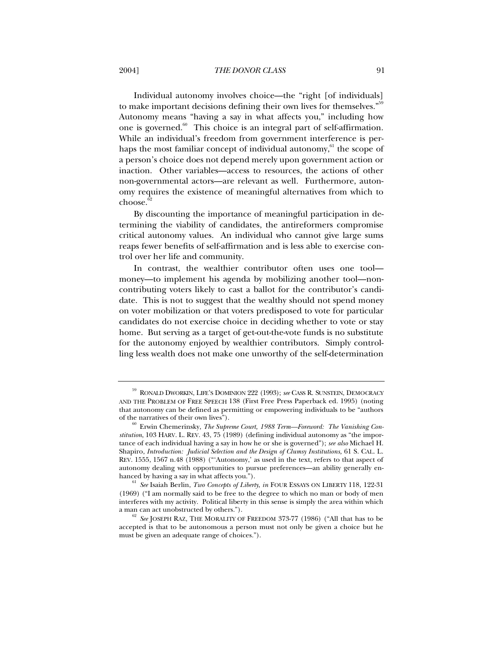Individual autonomy involves choice—the "right [of individuals] to make important decisions defining their own lives for themselves."<sup>59</sup> Autonomy means "having a say in what affects you," including how one is governed. $60$  This choice is an integral part of self-affirmation. While an individual's freedom from government interference is perhaps the most familiar concept of individual autonomy, $61$  the scope of a person's choice does not depend merely upon government action or inaction. Other variables—access to resources, the actions of other non-governmental actors—are relevant as well. Furthermore, autonomy requires the existence of meaningful alternatives from which to  $choose^62}$ 

By discounting the importance of meaningful participation in determining the viability of candidates, the antireformers compromise critical autonomy values. An individual who cannot give large sums reaps fewer benefits of self-affirmation and is less able to exercise control over her life and community.

In contrast, the wealthier contributor often uses one tool money—to implement his agenda by mobilizing another tool—noncontributing voters likely to cast a ballot for the contributor's candidate. This is not to suggest that the wealthy should not spend money on voter mobilization or that voters predisposed to vote for particular candidates do not exercise choice in deciding whether to vote or stay home. But serving as a target of get-out-the-vote funds is no substitute for the autonomy enjoyed by wealthier contributors. Simply controlling less wealth does not make one unworthy of the self-determination

<sup>59</sup> RONALD DWORKIN, LIFE'S DOMINION 222 (1993); *see* CASS R. SUNSTEIN, DEMOCRACY AND THE PROBLEM OF FREE SPEECH 138 (First Free Press Paperback ed. 1995) (noting that autonomy can be defined as permitting or empowering individuals to be "authors of the narratives of their own lives").

<sup>&</sup>lt;sup>0</sup> Erwin Chemerinsky, *The Supreme Court, 1988 Term—Foreword: The Vanishing Constitution*, 103 HARV. L. REV. 43, 75 (1989) (defining individual autonomy as "the importance of each individual having a say in how he or she is governed"); *see also* Michael H. Shapiro, *Introduction: Judicial Selection and the Design of Clumsy Institutions,* 61 S. CAL. L. REV. 1555, 1567 n.48 (1988) ("'Autonomy,' as used in the text, refers to that aspect of autonomy dealing with opportunities to pursue preferences—an ability generally enhanced by having a say in what affects you.").<br><sup>61</sup> *See* Isaiah Berlin, *Two Concepts of Liberty, in* FOUR ESSAYS ON LIBERTY 118, 122-31

<sup>(1969) (&</sup>quot;I am normally said to be free to the degree to which no man or body of men interferes with my activity. Political liberty in this sense is simply the area within which a man can act unobstructed by others.").

<sup>62</sup> *See* JOSEPH RAZ, THE MORALITY OF FREEDOM 373-77 (1986) ("All that has to be accepted is that to be autonomous a person must not only be given a choice but he must be given an adequate range of choices.").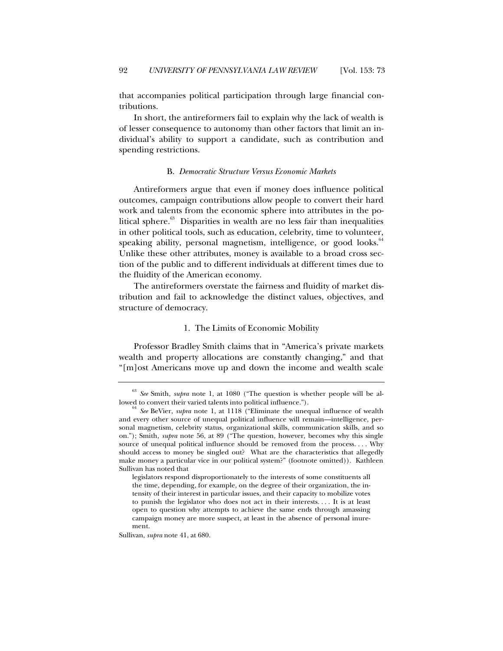that accompanies political participation through large financial contributions.

In short, the antireformers fail to explain why the lack of wealth is of lesser consequence to autonomy than other factors that limit an individual's ability to support a candidate, such as contribution and spending restrictions.

#### B. *Democratic Structure Versus Economic Markets*

Antireformers argue that even if money does influence political outcomes, campaign contributions allow people to convert their hard work and talents from the economic sphere into attributes in the political sphere. $63$  Disparities in wealth are no less fair than inequalities in other political tools, such as education, celebrity, time to volunteer, speaking ability, personal magnetism, intelligence, or good looks.<sup>64</sup> Unlike these other attributes, money is available to a broad cross section of the public and to different individuals at different times due to the fluidity of the American economy.

The antireformers overstate the fairness and fluidity of market distribution and fail to acknowledge the distinct values, objectives, and structure of democracy.

### 1. The Limits of Economic Mobility

Professor Bradley Smith claims that in "America's private markets wealth and property allocations are constantly changing," and that "[m]ost Americans move up and down the income and wealth scale

Sullivan, *supra* note 41, at 680.

 $63$  *See* Smith, *supra* note 1, at 1080 ("The question is whether people will be allowed to convert their varied talents into political influence.").

<sup>&</sup>lt;sup>64</sup> See BeVier, *supra* note 1, at 1118 ("Eliminate the unequal influence of wealth and every other source of unequal political influence will remain—intelligence, personal magnetism, celebrity status, organizational skills, communication skills, and so on."); Smith, *supra* note 56, at 89 ("The question, however, becomes why this single source of unequal political influence should be removed from the process. . . . Why should access to money be singled out? What are the characteristics that allegedly make money a particular vice in our political system?" (footnote omitted)). Kathleen Sullivan has noted that

legislators respond disproportionately to the interests of some constituents all the time, depending, for example, on the degree of their organization, the intensity of their interest in particular issues, and their capacity to mobilize votes to punish the legislator who does not act in their interests. . . . It is at least open to question why attempts to achieve the same ends through amassing campaign money are more suspect, at least in the absence of personal inurement.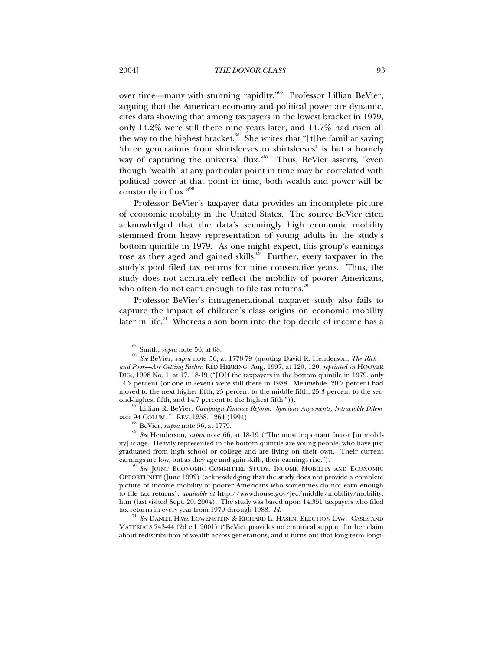over time—many with stunning rapidity."65 Professor Lillian BeVier, arguing that the American economy and political power are dynamic, cites data showing that among taxpayers in the lowest bracket in 1979, only 14.2% were still there nine years later, and 14.7% had risen all the way to the highest bracket. $66$  She writes that "[t]he familiar saying 'three generations from shirtsleeves to shirtsleeves' is but a homely way of capturing the universal flux."<sup>67</sup> Thus, BeVier asserts, "even though 'wealth' at any particular point in time may be correlated with political power at that point in time, both wealth and power will be constantly in flux."68

Professor BeVier's taxpayer data provides an incomplete picture of economic mobility in the United States. The source BeVier cited acknowledged that the data's seemingly high economic mobility stemmed from heavy representation of young adults in the study's bottom quintile in 1979. As one might expect, this group's earnings rose as they aged and gained skills.<sup>69</sup> Further, every taxpayer in the study's pool filed tax returns for nine consecutive years. Thus, the study does not accurately reflect the mobility of poorer Americans, who often do not earn enough to file tax returns.<sup>70</sup>

Professor BeVier's intragenerational taxpayer study also fails to capture the impact of children's class origins on economic mobility later in life.<sup>71</sup> Whereas a son born into the top decile of income has a

<sup>71</sup> *See* DANIEL HAYS LOWENSTEIN & RICHARD L. HASEN, ELECTION LAW: CASES AND MATERIALS 743-44 (2d ed. 2001) ("BeVier provides no empirical support for her claim about redistribution of wealth across generations, and it turns out that long-term longi-

<sup>65</sup> Smith, *supra* note 56, at 68.

<sup>66</sup> *See* BeVier, *supra* note 56, at 1778-79 (quoting David R. Henderson, *The Rich and Poor—Are Getting Richer*, RED HERRING, Aug. 1997, at 120, 120, *reprinted in* HOOVER DIG., 1998 No. 1, at 17, 18-19 ("[O]f the taxpayers in the bottom quintile in 1979, only 14.2 percent (or one in seven) were still there in 1988. Meanwhile, 20.7 percent had moved to the next higher fifth, 25 percent to the middle fifth, 25.3 percent to the sec-

ond-highest fifth, and 14.7 percent to the highest fifth.")). <sup>67</sup> Lillian R. BeVier, *Campaign Finance Reform: Specious Arguments, Intractable Dilemmas*, 94 COLUM. L. REV. 1258, 1264 (1994). <sup>68</sup> BeVier, *supra* note 56, at 1779.

<sup>69</sup> *See* Henderson, *supra* note 66, at 18-19 ("The most important factor [in mobility] is age. Heavily represented in the bottom quintile are young people, who have just graduated from high school or college and are living on their own. Their current earnings are low, but as they age and gain skills, their earnings rise.").

See JOINT ECONOMIC COMMITTEE STUDY, INCOME MOBILITY AND ECONOMIC OPPORTUNITY (June 1992) (acknowledging that the study does not provide a complete picture of income mobility of poorer Americans who sometimes do not earn enough to file tax returns), *available at* http://www.house.gov/jec/middle/mobility/mobility. htm (last visited Sept. 20, 2004). The study was based upon 14,351 taxpayers who filed tax returns in every year from 1979 through 1988. *Id.*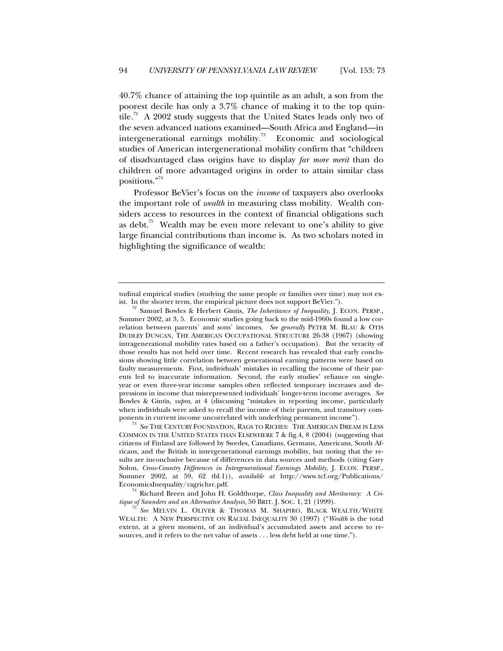40.7% chance of attaining the top quintile as an adult, a son from the poorest decile has only a 3.7% chance of making it to the top quintile.<sup>72</sup> A 2002 study suggests that the United States leads only two of the seven advanced nations examined—South Africa and England—in intergenerational earnings mobility.<sup>73</sup> Economic and sociological studies of American intergenerational mobility confirm that "children of disadvantaged class origins have to display *far more merit* than do children of more advantaged origins in order to attain similar class positions."74

Professor BeVier's focus on the *income* of taxpayers also overlooks the important role of *wealth* in measuring class mobility. Wealth considers access to resources in the context of financial obligations such as debt.<sup>75</sup> Wealth may be even more relevant to one's ability to give large financial contributions than income is. As two scholars noted in highlighting the significance of wealth:

<sup>74</sup> Richard Breen and John H. Goldthorpe, *Class Inequality and Meritocracy: A Critique of Saunders and an Alternative Analysis*, 50 BRIT. J. SOC. 1, 21 (1999).

tudinal empirical studies (studying the same people or families over time) may not exist. In the shorter term, the empirical picture does not support BeVier.").

Samuel Bowles & Herbert Gintis, *The Inheritance of Inequality*, J. ECON. PERSP., Summer 2002, at 3, 5. Economic studies going back to the mid-1960s found a low correlation between parents' and sons' incomes. *See generally* PETER M. BLAU & OTIS DUDLEY DUNCAN, THE AMERICAN OCCUPATIONAL STRUCTURE 26-38 (1967) (showing intragenerational mobility rates based on a father's occupation). But the veracity of those results has not held over time. Recent research has revealed that early conclusions showing little correlation between generational earning patterns were based on faulty measurements. First, individuals' mistakes in recalling the income of their parents led to inaccurate information. Second, the early studies' reliance on singleyear or even three-year income samples often reflected temporary increases and depressions in income that misrepresented individuals' longer-term income averages. *See* Bowles & Gintis, *supra*, at 4 (discussing "mistakes in reporting income, particularly when individuals were asked to recall the income of their parents, and transitory components in current income uncorrelated with underlying permanent income").

<sup>&</sup>lt;sup>3</sup> See THE CENTURY FOUNDATION, RAGS TO RICHES: THE AMERICAN DREAM IS LESS COMMON IN THE UNITED STATES THAN ELSEWHERE 7 & fig.4, 8 (2004) (suggesting that citizens of Finland are followed by Swedes, Canadians, Germans, Americans, South Africans, and the British in intergenerational earnings mobility, but noting that the results are inconclusive because of differences in data sources and methods (citing Gary Solon, *Cross-Country Differences in Intergenerational Earnings Mobility,* J. ECON. PERSP., Summer 2002, at 59, 62 tbl.1)), *available at* http://www.tcf.org/Publications/ EconomicsInequality/ragrichrc.pdf.

<sup>75</sup> *See* MELVIN L. OLIVER & THOMAS M. SHAPIRO, BLACK WEALTH/WHITE WEALTH: A NEW PERSPECTIVE ON RACIAL INEQUALITY 30 (1997) ("*Wealth* is the total extent, at a given moment, of an individual's accumulated assets and access to resources, and it refers to the net value of assets . . . less debt held at one time.").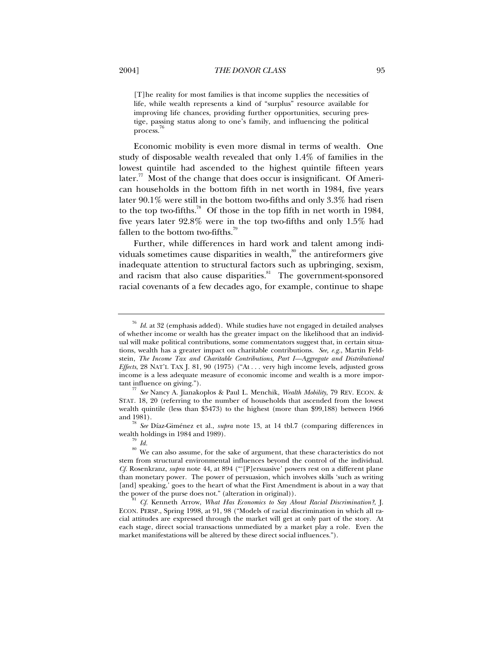[T]he reality for most families is that income supplies the necessities of life, while wealth represents a kind of "surplus" resource available for improving life chances, providing further opportunities, securing prestige, passing status along to one's family, and influencing the political process.<sup>76</sup>

Economic mobility is even more dismal in terms of wealth. One study of disposable wealth revealed that only 1.4% of families in the lowest quintile had ascended to the highest quintile fifteen years  $\text{later.}^{77}$  Most of the change that does occur is insignificant. Of American households in the bottom fifth in net worth in 1984, five years later 90.1% were still in the bottom two-fifths and only 3.3% had risen to the top two-fifths.<sup>78</sup> Of those in the top fifth in net worth in 1984, five years later 92.8% were in the top two-fifths and only 1.5% had fallen to the bottom two-fifths.<sup>79</sup>

Further, while differences in hard work and talent among individuals sometimes cause disparities in wealth, $\delta$ <sup>80</sup> the antireformers give inadequate attention to structural factors such as upbringing, sexism, and racism that also cause disparities.<sup>81</sup> The government-sponsored racial covenants of a few decades ago, for example, continue to shape

<sup>76</sup> *Id.* at 32 (emphasis added). While studies have not engaged in detailed analyses of whether income or wealth has the greater impact on the likelihood that an individual will make political contributions, some commentators suggest that, in certain situations, wealth has a greater impact on charitable contributions. *See, e.g.*, Martin Feldstein, *The Income Tax and Charitable Contributions, Part I—Aggregate and Distributional Effects*, 28 NAT'L TAX J. 81, 90 (1975) ("At . . . very high income levels, adjusted gross income is a less adequate measure of economic income and wealth is a more important influence on giving.").

<sup>77</sup> *See* Nancy A. Jianakoplos & Paul L. Menchik, *Wealth Mobility*, 79 REV. ECON. & STAT. 18, 20 (referring to the number of households that ascended from the lowest wealth quintile (less than \$5473) to the highest (more than \$99,188) between 1966

and 1981). <sup>78</sup> *See* Díaz-Giménez et al., *supra* note 13, at 14 tbl.7 (comparing differences in wealth holdings in 1984 and 1989). <sup>79</sup> *Id.*

<sup>&</sup>lt;sup>80</sup> We can also assume, for the sake of argument, that these characteristics do not stem from structural environmental influences beyond the control of the individual. *Cf.* Rosenkranz, *supra* note 44, at 894 ("'[P]ersuasive' powers rest on a different plane than monetary power. The power of persuasion, which involves skills 'such as writing [and] speaking,' goes to the heart of what the First Amendment is about in a way that the power of the purse does not." (alteration in original)).<br><sup>81</sup> *Cf.* Kenneth Arrow, *What Has Economics to Say About Racial Discrimination?*, J.

ECON. PERSP., Spring 1998, at 91, 98 ("Models of racial discrimination in which all racial attitudes are expressed through the market will get at only part of the story. At each stage, direct social transactions unmediated by a market play a role. Even the market manifestations will be altered by these direct social influences.").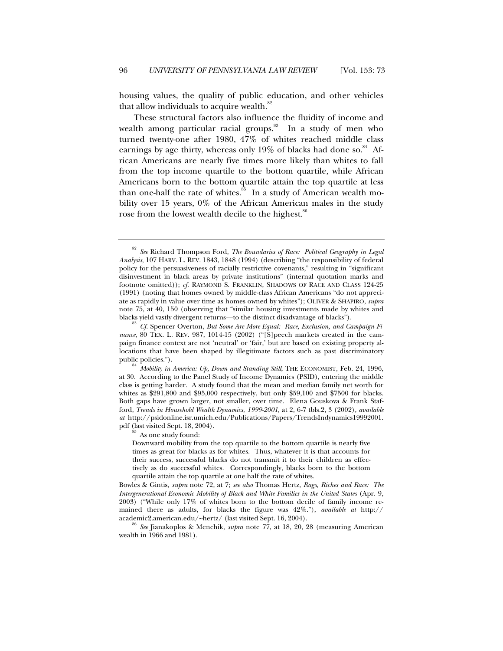housing values, the quality of public education, and other vehicles that allow individuals to acquire wealth. $s^2$ 

These structural factors also influence the fluidity of income and wealth among particular racial groups.<sup>83</sup> In a study of men who turned twenty-one after 1980, 47% of whites reached middle class earnings by age thirty, whereas only  $19\%$  of blacks had done so.<sup>84</sup> African Americans are nearly five times more likely than whites to fall from the top income quartile to the bottom quartile, while African Americans born to the bottom quartile attain the top quartile at less than one-half the rate of whites.<sup>85</sup> In a study of American wealth mobility over 15 years, 0% of the African American males in the study rose from the lowest wealth decile to the highest.<sup>86</sup>

 $\delta$  As one study found:

Downward mobility from the top quartile to the bottom quartile is nearly five times as great for blacks as for whites. Thus, whatever it is that accounts for their success, successful blacks do not transmit it to their children as effectively as do successful whites. Correspondingly, blacks born to the bottom quartile attain the top quartile at one half the rate of whites.

Bowles & Gintis*, supra* note 72, at 7; *see also* Thomas Hertz, *Rags, Riches and Race: The Intergenerational Economic Mobility of Black and White Families in the United States* (Apr. 9, 2003) ("While only 17% of whites born to the bottom decile of family income remained there as adults, for blacks the figure was 42%."), *available at* http:// academic2.american.edu/~hertz/ (last visited Sept. 16, 2004).<br><sup>86</sup> *See* Jianakoplos & Menchik, *supra* note 77, at 18, 20, 28 (measuring American

wealth in 1966 and 1981).

<sup>82</sup> *See* Richard Thompson Ford, *The Boundaries of Race: Political Geography in Legal Analysis*, 107 HARV. L. REV. 1843, 1848 (1994) (describing "the responsibility of federal policy for the persuasiveness of racially restrictive covenants," resulting in "significant disinvestment in black areas by private institutions" (internal quotation marks and footnote omitted)); *cf.* RAYMOND S. FRANKLIN, SHADOWS OF RACE AND CLASS 124-25 (1991) (noting that homes owned by middle-class African Americans "do not appreciate as rapidly in value over time as homes owned by whites"); OLIVER & SHAPIRO, *supra* note 75, at 40, 150 (observing that "similar housing investments made by whites and blacks yield vastly divergent returns—to the distinct disadvantage of blacks").

<sup>83</sup> *Cf.* Spencer Overton, *But Some Are More Equal: Race, Exclusion, and Campaign Finance*, 80 TEX. L. REV. 987, 1014-15 (2002) ("[S]peech markets created in the campaign finance context are not 'neutral' or 'fair,' but are based on existing property allocations that have been shaped by illegitimate factors such as past discriminatory public policies.").

<sup>84</sup> *Mobility in America: Up, Down and Standing Still*, THE ECONOMIST, Feb. 24, 1996, at 30. According to the Panel Study of Income Dynamics (PSID), entering the middle class is getting harder. A study found that the mean and median family net worth for whites as \$291,800 and \$95,000 respectively, but only \$59,100 and \$7500 for blacks. Both gaps have grown larger, not smaller, over time. Elena Gouskova & Frank Stafford, *Trends in Household Wealth Dynamics, 1999-2001*, at 2, 6-7 tbls.2, 3 (2002), *available at* http://psidonline.isr.umich.edu/Publications/Papers/TrendsIndynamics19992001. pdf (last visited Sept. 18, 2004).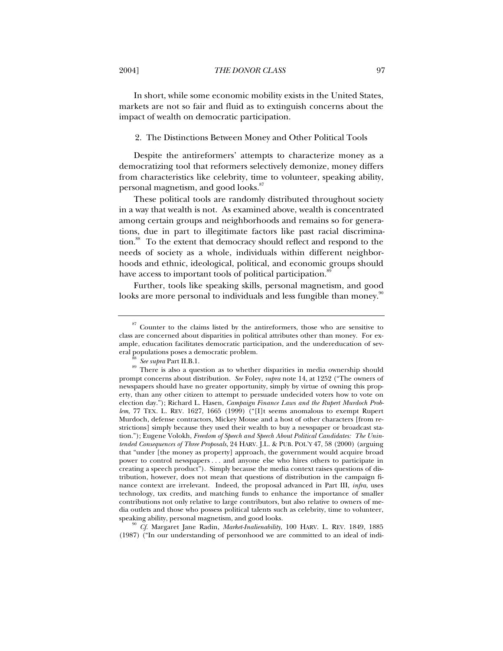In short, while some economic mobility exists in the United States, markets are not so fair and fluid as to extinguish concerns about the impact of wealth on democratic participation.

#### 2. The Distinctions Between Money and Other Political Tools

Despite the antireformers' attempts to characterize money as a democratizing tool that reformers selectively demonize, money differs from characteristics like celebrity, time to volunteer, speaking ability, personal magnetism, and good looks.<sup>87</sup>

These political tools are randomly distributed throughout society in a way that wealth is not. As examined above, wealth is concentrated among certain groups and neighborhoods and remains so for generations, due in part to illegitimate factors like past racial discrimination.<sup>88</sup> To the extent that democracy should reflect and respond to the needs of society as a whole, individuals within different neighborhoods and ethnic, ideological, political, and economic groups should have access to important tools of political participation.<sup>8</sup>

Further, tools like speaking skills, personal magnetism, and good looks are more personal to individuals and less fungible than money.<sup>90</sup>

speaking ability, personal magnetism, and good looks.<br><sup>90</sup> *Cf.* Margaret Jane Radin, *Market-Inalienability*, 100 HARV. L. REV. 1849, 1885 (1987) ("In our understanding of personhood we are committed to an ideal of indi-

 $87$  Counter to the claims listed by the antireformers, those who are sensitive to class are concerned about disparities in political attributes other than money. For example, education facilitates democratic participation, and the undereducation of several populations poses a democratic problem.

<sup>88</sup> *See supra* Part II.B.1.

<sup>&</sup>lt;sup>89</sup> There is also a question as to whether disparities in media ownership should prompt concerns about distribution. *See* Foley, *supra* note 14, at 1252 ("The owners of newspapers should have no greater opportunity, simply by virtue of owning this property, than any other citizen to attempt to persuade undecided voters how to vote on election day."); Richard L. Hasen, *Campaign Finance Laws and the Rupert Murdoch Problem*, 77 TEX. L. REV. 1627, 1665 (1999) ("[I]t seems anomalous to exempt Rupert Murdoch, defense contractors, Mickey Mouse and a host of other characters [from restrictions] simply because they used their wealth to buy a newspaper or broadcast station."); Eugene Volokh, *Freedom of Speech and Speech About Political Candidates: The Unintended Consequences of Three Proposals*, 24 HARV. J.L. & PUB. POL'Y 47, 58 (2000) (arguing that "under [the money as property] approach, the government would acquire broad power to control newspapers . . . and anyone else who hires others to participate in creating a speech product"). Simply because the media context raises questions of distribution, however, does not mean that questions of distribution in the campaign finance context are irrelevant. Indeed, the proposal advanced in Part III, *infra*, uses technology, tax credits, and matching funds to enhance the importance of smaller contributions not only relative to large contributors, but also relative to owners of media outlets and those who possess political talents such as celebrity, time to volunteer,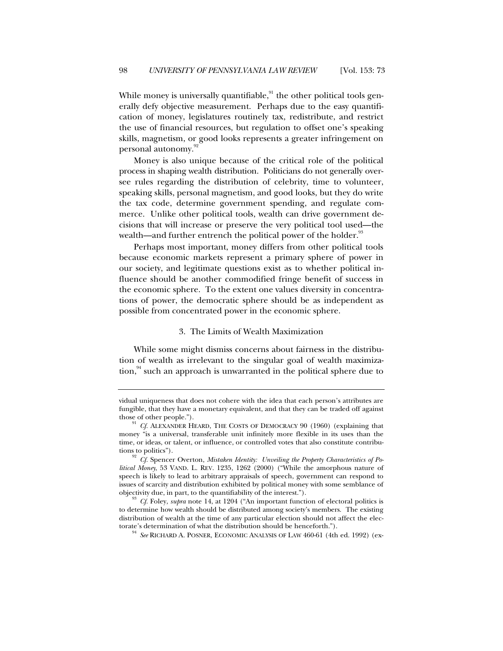While money is universally quantifiable, $91$  the other political tools generally defy objective measurement. Perhaps due to the easy quantification of money, legislatures routinely tax, redistribute, and restrict the use of financial resources, but regulation to offset one's speaking skills, magnetism, or good looks represents a greater infringement on personal autonomy.<sup>92</sup>

Money is also unique because of the critical role of the political process in shaping wealth distribution. Politicians do not generally oversee rules regarding the distribution of celebrity, time to volunteer, speaking skills, personal magnetism, and good looks, but they do write the tax code, determine government spending, and regulate commerce. Unlike other political tools, wealth can drive government decisions that will increase or preserve the very political tool used—the wealth—and further entrench the political power of the holder.<sup>93</sup>

Perhaps most important, money differs from other political tools because economic markets represent a primary sphere of power in our society, and legitimate questions exist as to whether political influence should be another commodified fringe benefit of success in the economic sphere. To the extent one values diversity in concentrations of power, the democratic sphere should be as independent as possible from concentrated power in the economic sphere.

#### 3. The Limits of Wealth Maximization

While some might dismiss concerns about fairness in the distribution of wealth as irrelevant to the singular goal of wealth maximiza- $\frac{94}{100}$  such an approach is unwarranted in the political sphere due to

<sup>94</sup> *See* RICHARD A. POSNER, ECONOMIC ANALYSIS OF LAW 460-61 (4th ed. 1992) (ex-

vidual uniqueness that does not cohere with the idea that each person's attributes are fungible, that they have a monetary equivalent, and that they can be traded off against

Cf. ALEXANDER HEARD, THE COSTS OF DEMOCRACY 90 (1960) (explaining that money "is a universal, transferable unit infinitely more flexible in its uses than the time, or ideas, or talent, or influence, or controlled votes that also constitute contributions to politics").

<sup>92</sup> *Cf.* Spencer Overton, *Mistaken Identity: Unveiling the Property Characteristics of Political Money*, 53 VAND. L. REV. 1235, 1262 (2000) ("While the amorphous nature of speech is likely to lead to arbitrary appraisals of speech, government can respond to issues of scarcity and distribution exhibited by political money with some semblance of objectivity due, in part, to the quantifiability of the interest.").

<sup>&</sup>lt;sup>93</sup> *Cf.* Foley, *supra* note 14, at 1204 ("An important function of electoral politics is to determine how wealth should be distributed among society's members. The existing distribution of wealth at the time of any particular election should not affect the electorate's determination of what the distribution should be henceforth.").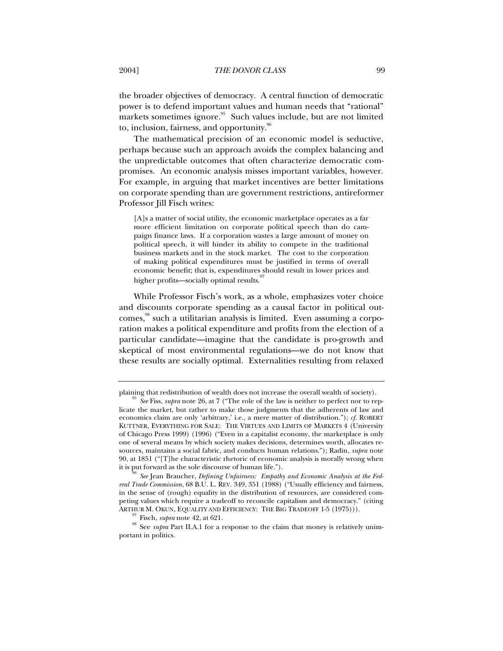the broader objectives of democracy. A central function of democratic power is to defend important values and human needs that "rational" markets sometimes ignore.<sup>95</sup> Such values include, but are not limited to, inclusion, fairness, and opportunity. $96$ 

The mathematical precision of an economic model is seductive, perhaps because such an approach avoids the complex balancing and the unpredictable outcomes that often characterize democratic compromises. An economic analysis misses important variables, however. For example, in arguing that market incentives are better limitations on corporate spending than are government restrictions, antireformer Professor Jill Fisch writes:

[A]s a matter of social utility, the economic marketplace operates as a far more efficient limitation on corporate political speech than do campaign finance laws. If a corporation wastes a large amount of money on political speech, it will hinder its ability to compete in the traditional business markets and in the stock market. The cost to the corporation of making political expenditures must be justified in terms of overall economic benefit; that is, expenditures should result in lower prices and higher profits—socially optimal results.<sup>9</sup>

While Professor Fisch's work, as a whole, emphasizes voter choice and discounts corporate spending as a causal factor in political outcomes,<sup>98</sup> such a utilitarian analysis is limited. Even assuming a corporation makes a political expenditure and profits from the election of a particular candidate—imagine that the candidate is pro-growth and skeptical of most environmental regulations—we do not know that these results are socially optimal. Externalities resulting from relaxed

plaining that redistribution of wealth does not increase the overall wealth of society). <sup>95</sup> *See* Fiss, *supra* note 26, at 7 ("The role of the law is neither to perfect nor to rep-

licate the market, but rather to make those judgments that the adherents of law and economics claim are only 'arbitrary,' i.e., a mere matter of distribution."); *cf.* ROBERT KUTTNER, EVERYTHING FOR SALE: THE VIRTUES AND LIMITS OF MARKETS 4 (University of Chicago Press 1999) (1996) ("Even in a capitalist economy, the marketplace is only one of several means by which society makes decisions, determines worth, allocates resources, maintains a social fabric, and conducts human relations."); Radin, *supra* note 90, at 1851 ("[T]he characteristic rhetoric of economic analysis is morally wrong when it is put forward as the sole discourse of human life.").

See Jean Braucher, *Defining Unfairness: Empathy and Economic Analysis at the Federal Trade Commission*, 68 B.U. L. REV. 349, 351 (1988) ("Usually efficiency and fairness, in the sense of (rough) equality in the distribution of resources, are considered competing values which require a tradeoff to reconcile capitalism and democracy." (citing ARTHUR M. OKUN, EQUALITY AND EFFICIENCY: THE BIG TRADEOFF 1-5 (1975))).

Fisch, *supra* note 42, at 621.

<sup>&</sup>lt;sup>98</sup> See *supra* Part II.A.1 for a response to the claim that money is relatively unimportant in politics.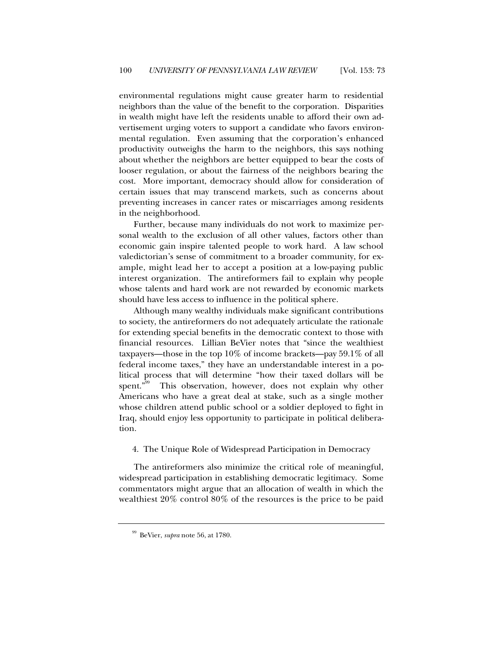environmental regulations might cause greater harm to residential neighbors than the value of the benefit to the corporation. Disparities in wealth might have left the residents unable to afford their own advertisement urging voters to support a candidate who favors environmental regulation. Even assuming that the corporation's enhanced productivity outweighs the harm to the neighbors, this says nothing about whether the neighbors are better equipped to bear the costs of looser regulation, or about the fairness of the neighbors bearing the cost. More important, democracy should allow for consideration of certain issues that may transcend markets, such as concerns about preventing increases in cancer rates or miscarriages among residents in the neighborhood.

Further, because many individuals do not work to maximize personal wealth to the exclusion of all other values, factors other than economic gain inspire talented people to work hard. A law school valedictorian's sense of commitment to a broader community, for example, might lead her to accept a position at a low-paying public interest organization. The antireformers fail to explain why people whose talents and hard work are not rewarded by economic markets should have less access to influence in the political sphere.

Although many wealthy individuals make significant contributions to society, the antireformers do not adequately articulate the rationale for extending special benefits in the democratic context to those with financial resources. Lillian BeVier notes that "since the wealthiest taxpayers—those in the top 10% of income brackets—pay 59.1% of all federal income taxes," they have an understandable interest in a political process that will determine "how their taxed dollars will be spent."99 This observation, however, does not explain why other Americans who have a great deal at stake, such as a single mother whose children attend public school or a soldier deployed to fight in Iraq, should enjoy less opportunity to participate in political deliberation.

4. The Unique Role of Widespread Participation in Democracy

The antireformers also minimize the critical role of meaningful, widespread participation in establishing democratic legitimacy. Some commentators might argue that an allocation of wealth in which the wealthiest 20% control 80% of the resources is the price to be paid

<sup>99</sup> BeVier, *supra* note 56, at 1780.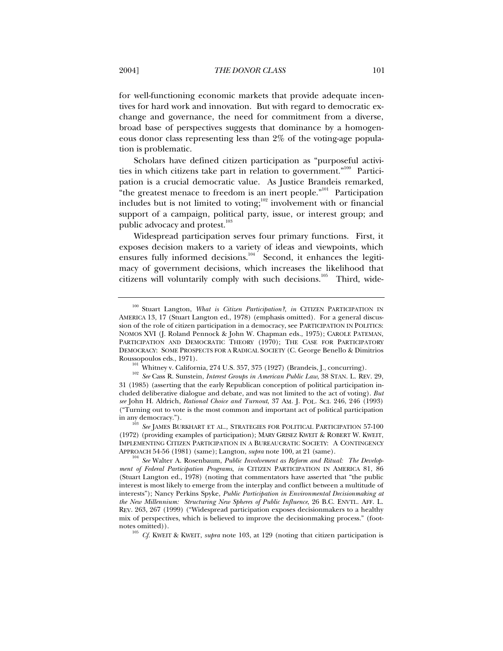for well-functioning economic markets that provide adequate incentives for hard work and innovation. But with regard to democratic exchange and governance, the need for commitment from a diverse, broad base of perspectives suggests that dominance by a homogeneous donor class representing less than 2% of the voting-age population is problematic.

Scholars have defined citizen participation as "purposeful activities in which citizens take part in relation to government."100 Participation is a crucial democratic value. As Justice Brandeis remarked, "the greatest menace to freedom is an inert people."<sup>101</sup> Participation includes but is not limited to voting; $102$  involvement with or financial support of a campaign, political party, issue, or interest group; and public advocacy and protest.<sup>103</sup>

Widespread participation serves four primary functions. First, it exposes decision makers to a variety of ideas and viewpoints, which ensures fully informed decisions. $104$  Second, it enhances the legitimacy of government decisions, which increases the likelihood that citizens will voluntarily comply with such decisions.<sup>105</sup> Third, wide-

<sup>105</sup> *Cf.* KWEIT & KWEIT, *supra* note 103, at 129 (noting that citizen participation is

<sup>100</sup> Stuart Langton, *What is Citizen Participation?*, *in* CITIZEN PARTICIPATION IN AMERICA 13, 17 (Stuart Langton ed., 1978) (emphasis omitted). For a general discussion of the role of citizen participation in a democracy, see PARTICIPATION IN POLITICS: NOMOS XVI (J. Roland Pennock & John W. Chapman eds., 1975); CAROLE PATEMAN, PARTICIPATION AND DEMOCRATIC THEORY (1970); THE CASE FOR PARTICIPATORY DEMOCRACY: SOME PROSPECTS FOR A RADICAL SOCIETY (C. George Benello & Dimitrios Roussopoulos eds., 1971).

<sup>&</sup>lt;sup>101</sup> Whitney v. California, 274 U.S. 357, 375 (1927) (Brandeis, J., concurring).

<sup>102</sup> *See* Cass R. Sunstein, *Interest Groups in American Public Law*, 38 STAN. L. REV. 29, 31 (1985) (asserting that the early Republican conception of political participation included deliberative dialogue and debate, and was not limited to the act of voting). *But see* John H. Aldrich, *Rational Choice and Turnout*, 37 AM. J. POL. SCI. 246, 246 (1993) ("Turning out to vote is the most common and important act of political participation in any democracy.").

<sup>&</sup>lt;sup>3</sup> See JAMES BURKHART ET AL., STRATEGIES FOR POLITICAL PARTICIPATION 57-100 (1972) (providing examples of participation); MARY GRISEZ KWEIT & ROBERT W. KWEIT, IMPLEMENTING CITIZEN PARTICIPATION IN A BUREAUCRATIC SOCIETY: A CONTINGENCY<br>APPROACH 54-56 (1981) (same); Langton, *supra* note 100, at 21 (same).

<sup>&</sup>lt;sup>104</sup> See Walter A. Rosenbaum, *Public Involvement as Reform and Ritual: The Development of Federal Participation Programs*, *in* CITIZEN PARTICIPATION IN AMERICA 81, 86 (Stuart Langton ed., 1978) (noting that commentators have asserted that "the public interest is most likely to emerge from the interplay and conflict between a multitude of interests"); Nancy Perkins Spyke, *Public Participation in Environmental Decisionmaking at the New Millennium: Structuring New Spheres of Public Influence*, 26 B.C. ENVTL. AFF. L. REV. 263, 267 (1999) ("Widespread participation exposes decisionmakers to a healthy mix of perspectives, which is believed to improve the decisionmaking process." (footnotes omitted)).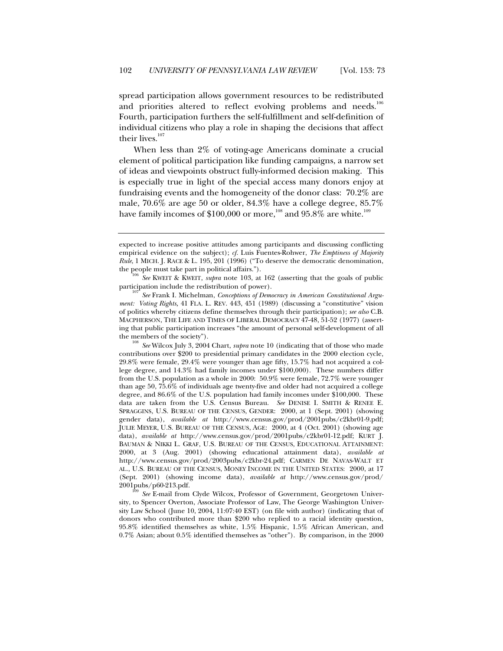spread participation allows government resources to be redistributed and priorities altered to reflect evolving problems and needs.<sup>106</sup> Fourth, participation furthers the self-fulfillment and self-definition of individual citizens who play a role in shaping the decisions that affect their lives. $107$ 

When less than 2% of voting-age Americans dominate a crucial element of political participation like funding campaigns, a narrow set of ideas and viewpoints obstruct fully-informed decision making. This is especially true in light of the special access many donors enjoy at fundraising events and the homogeneity of the donor class: 70.2% are male, 70.6% are age 50 or older, 84.3% have a college degree, 85.7% have family incomes of \$100,000 or more,<sup>108</sup> and 95.8% are white.<sup>109</sup>

expected to increase positive attitudes among participants and discussing conflicting empirical evidence on the subject); *cf.* Luis Fuentes-Rohwer, *The Emptiness of Majority Rule*, 1 MICH. J. RACE & L. 195, 201 (1996) ("To deserve the democratic denomination, the people must take part in political affairs.").<br><sup>106</sup> *See* KWEIT & KWEIT, *supra* note 103, at 162 (asserting that the goals of public

participation include the redistribution of power).<br><sup>107</sup> *See* Frank I. Michelman, *Conceptions of Democracy in American Constitutional Argu-*

*ment: Voting Rights,* 41 FLA. L. REV. 443, 451 (1989) (discussing a "constitutive" vision of politics whereby citizens define themselves through their participation); *see also* C.B. MACPHERSON, THE LIFE AND TIMES OF LIBERAL DEMOCRACY 47-48, 51-52 (1977) (asserting that public participation increases "the amount of personal self-development of all the members of the society").

<sup>108</sup> *See* Wilcox July 3, 2004 Chart, *supra* note 10 (indicating that of those who made contributions over \$200 to presidential primary candidates in the 2000 election cycle, 29.8% were female, 29.4% were younger than age fifty, 15.7% had not acquired a college degree, and 14.3% had family incomes under \$100,000). These numbers differ from the U.S. population as a whole in 2000: 50.9% were female, 72.7% were younger than age 50, 75.6% of individuals age twenty-five and older had not acquired a college degree, and 86.6% of the U.S. population had family incomes under \$100,000. These data are taken from the U.S. Census Bureau. *See* DENISE I. SMITH & RENEE E. SPRAGGINS, U.S. BUREAU OF THE CENSUS, GENDER: 2000, at 1 (Sept. 2001) (showing gender data), *available at* http://www.census.gov/prod/2001pubs/c2kbr01-9.pdf; JULIE MEYER, U.S. BUREAU OF THE CENSUS, AGE: 2000, at 4 (Oct. 2001) (showing age data), *available at* http://www.census.gov/prod/2001pubs/c2kbr01-12.pdf; KURT J. BAUMAN & NIKKI L. GRAF, U.S. BUREAU OF THE CENSUS, EDUCATIONAL ATTAINMENT: 2000, at 3 (Aug. 2001) (showing educational attainment data), *available at* http://www.census.gov/prod/2003pubs/c2kbr-24.pdf; CARMEN DE NAVAS-WALT ET AL., U.S. BUREAU OF THE CENSUS, MONEY INCOME IN THE UNITED STATES: 2000, at 17 (Sept. 2001) (showing income data), *available at* http://www.census.gov/prod/ 2001pubs/p60-213.pdf.

<sup>&</sup>lt;sup>109</sup> *See* E-mail from Clyde Wilcox, Professor of Government, Georgetown University, to Spencer Overton, Associate Professor of Law, The George Washington University Law School (June 10, 2004, 11:07:40 EST) (on file with author) (indicating that of donors who contributed more than \$200 who replied to a racial identity question, 95.8% identified themselves as white, 1.5% Hispanic, 1.5% African American, and 0.7% Asian; about 0.5% identified themselves as "other"). By comparison, in the 2000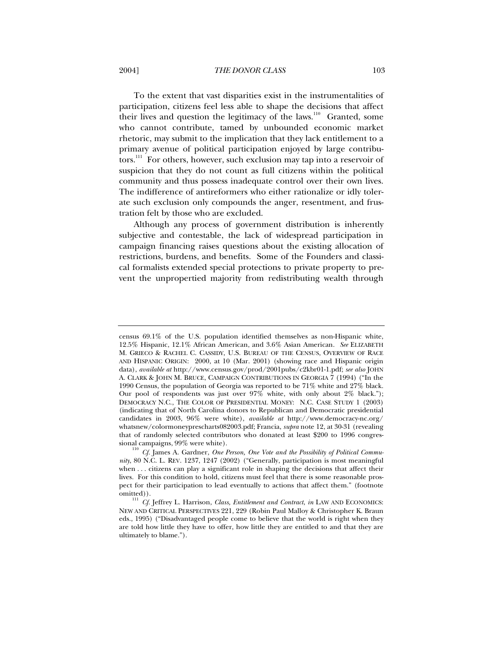To the extent that vast disparities exist in the instrumentalities of participation, citizens feel less able to shape the decisions that affect their lives and question the legitimacy of the laws.<sup>110</sup> Granted, some who cannot contribute, tamed by unbounded economic market rhetoric, may submit to the implication that they lack entitlement to a primary avenue of political participation enjoyed by large contributors.<sup>111</sup> For others, however, such exclusion may tap into a reservoir of suspicion that they do not count as full citizens within the political community and thus possess inadequate control over their own lives. The indifference of antireformers who either rationalize or idly tolerate such exclusion only compounds the anger, resentment, and frustration felt by those who are excluded.

Although any process of government distribution is inherently subjective and contestable, the lack of widespread participation in campaign financing raises questions about the existing allocation of restrictions, burdens, and benefits. Some of the Founders and classical formalists extended special protections to private property to prevent the unpropertied majority from redistributing wealth through

census 69.1% of the U.S. population identified themselves as non-Hispanic white, 12.5% Hispanic, 12.1% African American, and 3.6% Asian American. *See* ELIZABETH M. GRIECO & RACHEL C. CASSIDY, U.S. BUREAU OF THE CENSUS, OVERVIEW OF RACE AND HISPANIC ORIGIN: 2000, at 10 (Mar. 2001) (showing race and Hispanic origin data), *available at* http://www.census.gov/prod/2001pubs/c2kbr01-1.pdf; *see also* JOHN A. CLARK & JOHN M. BRUCE, CAMPAIGN CONTRIBUTIONS IN GEORGIA 7 (1994) ("In the 1990 Census, the population of Georgia was reported to be 71% white and 27% black. Our pool of respondents was just over 97% white, with only about 2% black."); DEMOCRACY N.C., THE COLOR OF PRESIDENTIAL MONEY: N.C. CASE STUDY 1 (2003) (indicating that of North Carolina donors to Republican and Democratic presidential candidates in 2003, 96% were white), *available at* http://www.democracy-nc.org/ whatsnew/colormoneyprescharts082003.pdf; Francia, *supra* note 12, at 30-31 (revealing that of randomly selected contributors who donated at least \$200 to 1996 congressional campaigns, 99% were white).

<sup>110</sup> *Cf.* James A. Gardner, *One Person, One Vote and the Possibility of Political Community*, 80 N.C. L. REV. 1237, 1247 (2002) ("Generally, participation is most meaningful when . . . citizens can play a significant role in shaping the decisions that affect their lives. For this condition to hold, citizens must feel that there is some reasonable prospect for their participation to lead eventually to actions that affect them." (footnote omitted)).<br><sup>111</sup> *Cf.* Jeffrey L. Harrison, *Class, Entitlement and Contract*, *in* LAW AND ECONOMICS:

NEW AND CRITICAL PERSPECTIVES 221, 229 (Robin Paul Malloy & Christopher K. Braun eds., 1995) ("Disadvantaged people come to believe that the world is right when they are told how little they have to offer, how little they are entitled to and that they are ultimately to blame.").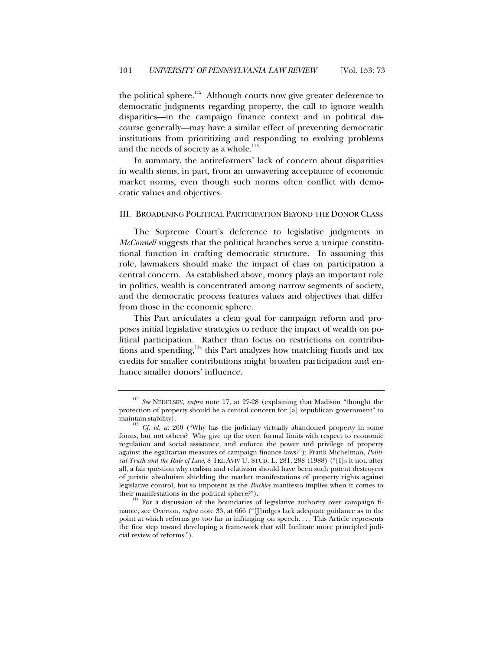the political sphere.<sup>112</sup> Although courts now give greater deference to democratic judgments regarding property, the call to ignore wealth disparities—in the campaign finance context and in political discourse generally—may have a similar effect of preventing democratic institutions from prioritizing and responding to evolving problems and the needs of society as a whole.<sup>113</sup>

In summary, the antireformers' lack of concern about disparities in wealth stems, in part, from an unwavering acceptance of economic market norms, even though such norms often conflict with democratic values and objectives.

#### III. BROADENING POLITICAL PARTICIPATION BEYOND THE DONOR CLASS

The Supreme Court's deference to legislative judgments in *McConnell* suggests that the political branches serve a unique constitutional function in crafting democratic structure. In assuming this role, lawmakers should make the impact of class on participation a central concern. As established above, money plays an important role in politics, wealth is concentrated among narrow segments of society, and the democratic process features values and objectives that differ from those in the economic sphere.

This Part articulates a clear goal for campaign reform and proposes initial legislative strategies to reduce the impact of wealth on political participation. Rather than focus on restrictions on contributions and spending,<sup>114</sup> this Part analyzes how matching funds and tax credits for smaller contributions might broaden participation and enhance smaller donors' influence.

<sup>112</sup> *See* NEDELSKY, *supra* note 17, at 27-28 (explaining that Madison "thought the protection of property should be a central concern for [a] republican government" to maintain stability).

<sup>&</sup>lt;sup>113</sup> *Cf. id.* at 260 ("Why has the judiciary virtually abandoned property in some forms, but not others? Why give up the overt formal limits with respect to economic regulation and social assistance, and enforce the power and privilege of property against the egalitarian measures of campaign finance laws?"); Frank Michelman, *Political Truth and the Rule of Law*, 8 TEL AVIV U. STUD. L. 281, 288 (1988) ("[I]s it not, after all, a fair question why realism and relativism should have been such potent destroyers of juristic absolutism shielding the market manifestations of property rights against legislative control, but so impotent as the *Buckley* manifesto implies when it comes to

their manifestations in the political sphere?").<br><sup>114</sup> For a discussion of the boundaries of legislative authority over campaign finance, see Overton, *supra* note 33, at 666 ("[J]udges lack adequate guidance as to the point at which reforms go too far in infringing on speech. . . . This Article represents the first step toward developing a framework that will facilitate more principled judicial review of reforms.").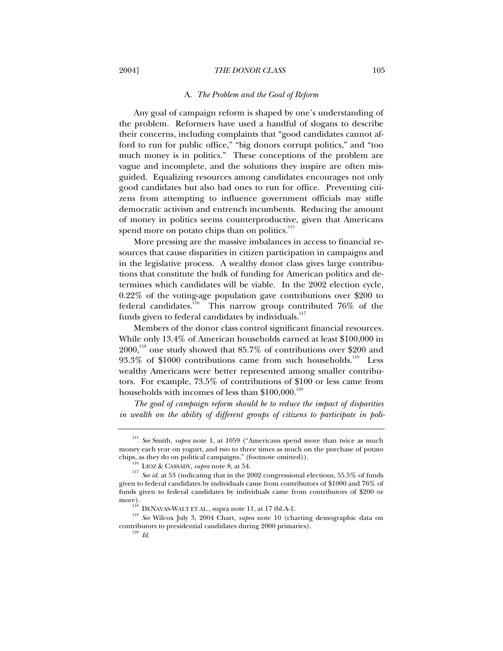#### A. *The Problem and the Goal of Reform*

Any goal of campaign reform is shaped by one's understanding of the problem. Reformers have used a handful of slogans to describe their concerns, including complaints that "good candidates cannot afford to run for public office," "big donors corrupt politics," and "too much money is in politics." These conceptions of the problem are vague and incomplete, and the solutions they inspire are often misguided. Equalizing resources among candidates encourages not only good candidates but also bad ones to run for office. Preventing citizens from attempting to influence government officials may stifle democratic activism and entrench incumbents. Reducing the amount of money in politics seems counterproductive, given that Americans spend more on potato chips than on politics.<sup>115</sup>

More pressing are the massive imbalances in access to financial resources that cause disparities in citizen participation in campaigns and in the legislative process. A wealthy donor class gives large contributions that constitute the bulk of funding for American politics and determines which candidates will be viable. In the 2002 election cycle, 0.22% of the voting-age population gave contributions over \$200 to federal candidates.<sup>116</sup> This narrow group contributed 76\% of the funds given to federal candidates by individuals.<sup>117</sup>

Members of the donor class control significant financial resources. While only 13.4% of American households earned at least \$100,000 in  $2000$ ,<sup>118</sup> one study showed that 85.7% of contributions over \$200 and  $93.3\%$  of \$1000 contributions came from such households.<sup>119</sup> Less wealthy Americans were better represented among smaller contributors. For example, 73.5% of contributions of \$100 or less came from households with incomes of less than  $$100,000.<sup>120</sup>$ 

*The goal of campaign reform should be to reduce the impact of disparities in wealth on the ability of different groups of citizens to participate in poli-*

<sup>115</sup> *See* Smith, *supra* note 1, at 1059 ("Americans spend more than twice as much money each year on yogurt, and two to three times as much on the purchase of potato chips, as they do on political campaigns." (footnote omitted)).

<sup>&</sup>lt;sup>116</sup> LIOZ & CASSADY, *supra* note 8, at 54.

See *id.* at 53 (indicating that in the 2002 congressional elections, 55.5% of funds given to federal candidates by individuals came from contributors of \$1000 and 76% of funds given to federal candidates by individuals came from contributors of \$200 or more).

 $^{118}$  DENAVAS-WALT ET AL., supra note 11, at 17 tbl.A-1.

<sup>119</sup> *See* Wilcox July 3, 2004 Chart, *supra* note 10 (charting demographic data on contributors to presidential candidates during 2000 primaries).

<sup>120</sup> *Id.*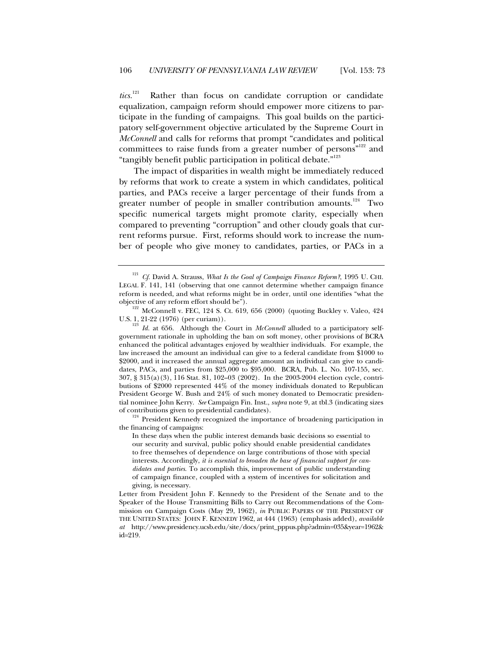*tics.*<sup>121</sup> Rather than focus on candidate corruption or candidate equalization, campaign reform should empower more citizens to participate in the funding of campaigns. This goal builds on the participatory self-government objective articulated by the Supreme Court in *McConnell* and calls for reforms that prompt "candidates and political committees to raise funds from a greater number of persons"<sup>122</sup> and "tangibly benefit public participation in political debate."123

The impact of disparities in wealth might be immediately reduced by reforms that work to create a system in which candidates, political parties, and PACs receive a larger percentage of their funds from a greater number of people in smaller contribution amounts.<sup>124</sup> Two specific numerical targets might promote clarity, especially when compared to preventing "corruption" and other cloudy goals that current reforms pursue. First, reforms should work to increase the number of people who give money to candidates, parties, or PACs in a

<sup>123</sup> *Id.* at 656. Although the Court in *McConnell* alluded to a participatory selfgovernment rationale in upholding the ban on soft money, other provisions of BCRA enhanced the political advantages enjoyed by wealthier individuals. For example, the law increased the amount an individual can give to a federal candidate from \$1000 to \$2000, and it increased the annual aggregate amount an individual can give to candidates, PACs, and parties from \$25,000 to \$95,000. BCRA, Pub. L. No. 107-155, sec. 307, § 315(a)(3), 116 Stat. 81, 102–03 (2002). In the 2003-2004 election cycle, contributions of \$2000 represented 44% of the money individuals donated to Republican President George W. Bush and 24% of such money donated to Democratic presidential nominee John Kerry. *See* Campaign Fin. Inst., *supra* note 9, at tbl.3 (indicating sizes of contributions given to presidential candidates).

<sup>124</sup> President Kennedy recognized the importance of broadening participation in the financing of campaigns:

In these days when the public interest demands basic decisions so essential to our security and survival, public policy should enable presidential candidates to free themselves of dependence on large contributions of those with special interests. Accordingly, *it is essential to broaden the base of financial support for candidates and parties*. To accomplish this, improvement of public understanding of campaign finance, coupled with a system of incentives for solicitation and giving, is necessary.

<sup>121</sup> *Cf.* David A. Strauss, *What Is the Goal of Campaign Finance Reform?*, 1995 U. CHI. LEGAL F. 141, 141 (observing that one cannot determine whether campaign finance reform is needed, and what reforms might be in order, until one identifies "what the objective of any reform effort should be").

 $122$  McConnell v. FEC, 124 S. Ct. 619, 656 (2000) (quoting Buckley v. Valeo, 424 U.S. 1, 21-22 (1976) (per curiam)).

Letter from President John F. Kennedy to the President of the Senate and to the Speaker of the House Transmitting Bills to Carry out Recommendations of the Commission on Campaign Costs (May 29, 1962), *in* PUBLIC PAPERS OF THE PRESIDENT OF THE UNITED STATES: JOHN F. KENNEDY 1962, at 444 (1963) (emphasis added), *available at* http://www.presidency.ucsb.edu/site/docs/print\_pppus.php?admin=035&year=1962& id=219.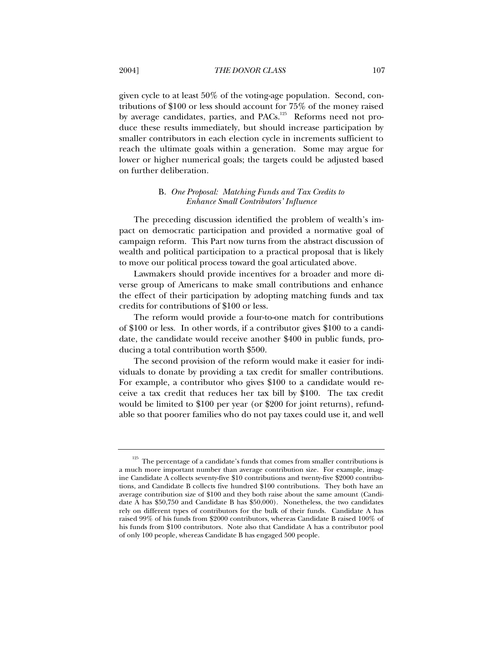given cycle to at least 50% of the voting-age population. Second, contributions of \$100 or less should account for 75% of the money raised by average candidates, parties, and PACs.<sup>125</sup> Reforms need not produce these results immediately, but should increase participation by smaller contributors in each election cycle in increments sufficient to reach the ultimate goals within a generation. Some may argue for lower or higher numerical goals; the targets could be adjusted based on further deliberation.

## B. *One Proposal: Matching Funds and Tax Credits to Enhance Small Contributors' Influence*

The preceding discussion identified the problem of wealth's impact on democratic participation and provided a normative goal of campaign reform. This Part now turns from the abstract discussion of wealth and political participation to a practical proposal that is likely to move our political process toward the goal articulated above.

Lawmakers should provide incentives for a broader and more diverse group of Americans to make small contributions and enhance the effect of their participation by adopting matching funds and tax credits for contributions of \$100 or less.

The reform would provide a four-to-one match for contributions of \$100 or less. In other words, if a contributor gives \$100 to a candidate, the candidate would receive another \$400 in public funds, producing a total contribution worth \$500.

The second provision of the reform would make it easier for individuals to donate by providing a tax credit for smaller contributions. For example, a contributor who gives \$100 to a candidate would receive a tax credit that reduces her tax bill by \$100. The tax credit would be limited to \$100 per year (or \$200 for joint returns), refundable so that poorer families who do not pay taxes could use it, and well

 $^{125}\,$  The percentage of a candidate's funds that comes from smaller contributions is a much more important number than average contribution size. For example, imagine Candidate A collects seventy-five \$10 contributions and twenty-five \$2000 contributions, and Candidate B collects five hundred \$100 contributions. They both have an average contribution size of \$100 and they both raise about the same amount (Candidate A has \$50,750 and Candidate B has \$50,000). Nonetheless, the two candidates rely on different types of contributors for the bulk of their funds. Candidate A has raised 99% of his funds from \$2000 contributors, whereas Candidate B raised 100% of his funds from \$100 contributors. Note also that Candidate A has a contributor pool of only 100 people, whereas Candidate B has engaged 500 people.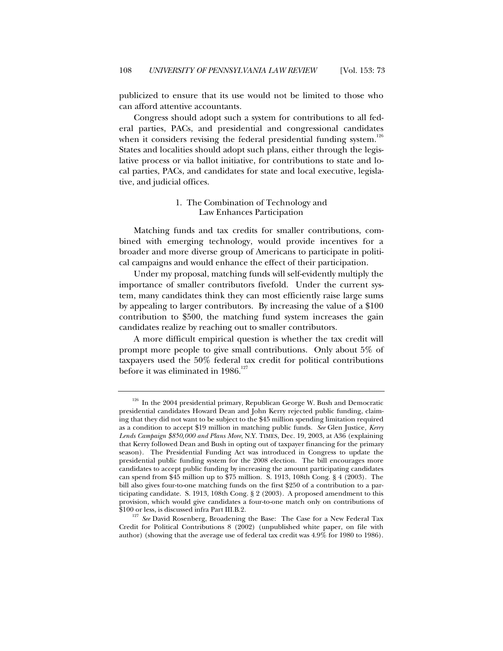publicized to ensure that its use would not be limited to those who can afford attentive accountants.

Congress should adopt such a system for contributions to all federal parties, PACs, and presidential and congressional candidates when it considers revising the federal presidential funding system.<sup>126</sup> States and localities should adopt such plans, either through the legislative process or via ballot initiative, for contributions to state and local parties, PACs, and candidates for state and local executive, legislative, and judicial offices.

## 1. The Combination of Technology and Law Enhances Participation

Matching funds and tax credits for smaller contributions, combined with emerging technology, would provide incentives for a broader and more diverse group of Americans to participate in political campaigns and would enhance the effect of their participation.

Under my proposal, matching funds will self-evidently multiply the importance of smaller contributors fivefold. Under the current system, many candidates think they can most efficiently raise large sums by appealing to larger contributors. By increasing the value of a \$100 contribution to \$500, the matching fund system increases the gain candidates realize by reaching out to smaller contributors.

A more difficult empirical question is whether the tax credit will prompt more people to give small contributions. Only about 5% of taxpayers used the 50% federal tax credit for political contributions before it was eliminated in  $1986$ <sup>127</sup>

<sup>&</sup>lt;sup>126</sup> In the 2004 presidential primary, Republican George W. Bush and Democratic presidential candidates Howard Dean and John Kerry rejected public funding, claiming that they did not want to be subject to the \$45 million spending limitation required as a condition to accept \$19 million in matching public funds. *See* Glen Justice*, Kerry Lends Campaign \$850,000 and Plans More*, N.Y. TIMES, Dec. 19, 2003, at A36 (explaining that Kerry followed Dean and Bush in opting out of taxpayer financing for the primary season). The Presidential Funding Act was introduced in Congress to update the presidential public funding system for the 2008 election. The bill encourages more candidates to accept public funding by increasing the amount participating candidates can spend from \$45 million up to \$75 million. S. 1913, 108th Cong. § 4 (2003). The bill also gives four-to-one matching funds on the first \$250 of a contribution to a participating candidate. S. 1913, 108th Cong. § 2 (2003). A proposed amendment to this provision, which would give candidates a four-to-one match only on contributions of \$100 or less, is discussed infra Part III.B.2.

<sup>&</sup>lt;sup>127</sup> See David Rosenberg, Broadening the Base: The Case for a New Federal Tax Credit for Political Contributions 8 (2002) (unpublished white paper, on file with author) (showing that the average use of federal tax credit was 4.9% for 1980 to 1986).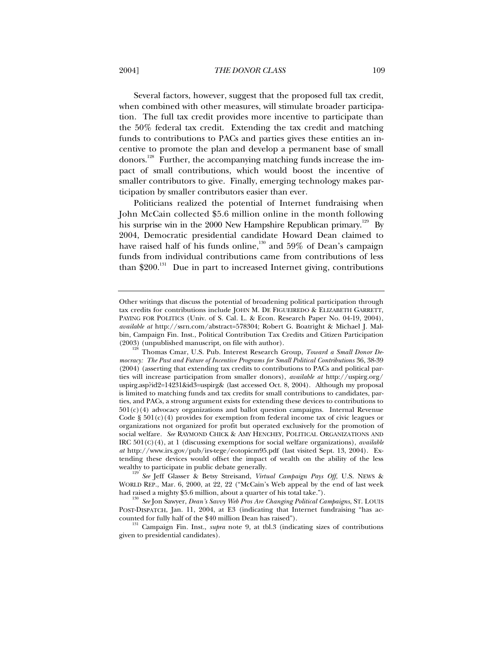Several factors, however, suggest that the proposed full tax credit, when combined with other measures, will stimulate broader participation. The full tax credit provides more incentive to participate than the 50% federal tax credit. Extending the tax credit and matching funds to contributions to PACs and parties gives these entities an incentive to promote the plan and develop a permanent base of small donors.128 Further, the accompanying matching funds increase the impact of small contributions, which would boost the incentive of smaller contributors to give. Finally, emerging technology makes participation by smaller contributors easier than ever.

Politicians realized the potential of Internet fundraising when John McCain collected \$5.6 million online in the month following his surprise win in the 2000 New Hampshire Republican primary.<sup>129</sup> By 2004, Democratic presidential candidate Howard Dean claimed to have raised half of his funds online, $130$  and  $59\%$  of Dean's campaign funds from individual contributions came from contributions of less than \$200.<sup>131</sup> Due in part to increased Internet giving, contributions

<sup>129'</sup> See<sup>1</sup> Leff Glasser & Betsy Streisand, *Virtual Campaign Pays Off*, U.S. NEWS & WORLD REP., Mar. 6, 2000, at 22, 22 ("McCain's Web appeal by the end of last week had raised a mighty \$5.6 million, about a quarter of his total take.").

<sup>130</sup> *See* Jon Sawyer, *Dean's Savvy Web Pros Are Changing Political Campaigns*, ST. LOUIS POST-DISPATCH, Jan. 11, 2004, at E3 (indicating that Internet fundraising "has ac-

counted for fully half of the \$40 million Dean has raised"). <sup>131</sup> Campaign Fin. Inst., *supra* note 9, at tbl.3 (indicating sizes of contributions given to presidential candidates).

Other writings that discuss the potential of broadening political participation through tax credits for contributions include JOHN M. DE FIGUEIREDO & ELIZABETH GARRETT, PAYING FOR POLITICS (Univ. of S. Cal. L. & Econ. Research Paper No. 04-19, 2004), *available at* http://ssrn.com/abstract=578304; Robert G. Boatright & Michael J. Malbin, Campaign Fin. Inst., Political Contribution Tax Credits and Citizen Participation

<sup>(2003) (</sup>unpublished manuscript, on file with author). <sup>128</sup> Thomas Cmar, U.S. Pub. Interest Research Group, *Toward a Small Donor Democracy: The Past and Future of Incentive Programs for Small Political Contributions* 36, 38-39 (2004) (asserting that extending tax credits to contributions to PACs and political parties will increase participation from smaller donors), *available at* http://uspirg.org/ uspirg.asp?id2=14231&id3=uspirg& (last accessed Oct. 8, 2004). Although my proposal is limited to matching funds and tax credits for small contributions to candidates, parties, and PACs, a strong argument exists for extending these devices to contributions to  $501(c)(4)$  advocacy organizations and ballot question campaigns. Internal Revenue Code  $\S 501(c)(4)$  provides for exemption from federal income tax of civic leagues or organizations not organized for profit but operated exclusively for the promotion of social welfare. *See* RAYMOND CHICK & AMY HENCHEY, POLITICAL ORGANIZATIONS AND IRC 501(C)(4), at 1 (discussing exemptions for social welfare organizations), *available at* http://www.irs.gov/pub/irs-tege/eotopicm95.pdf (last visited Sept. 13, 2004). Extending these devices would offset the impact of wealth on the ability of the less wealthy to participate in public debate generally.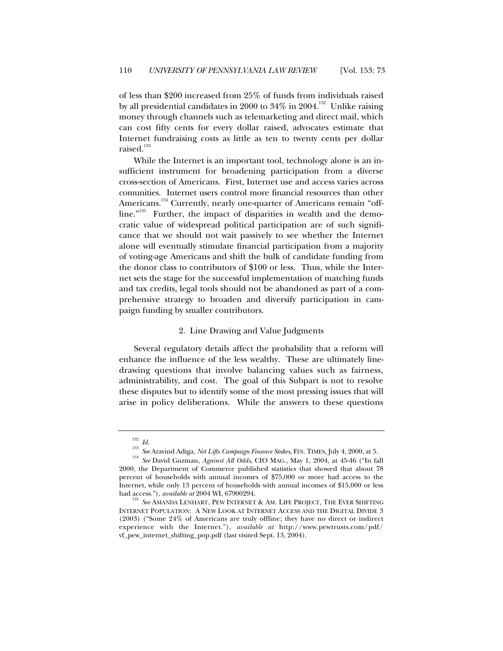of less than \$200 increased from 25% of funds from individuals raised by all presidential candidates in 2000 to  $34\%$  in 2004.<sup>132</sup> Unlike raising money through channels such as telemarketing and direct mail, which can cost fifty cents for every dollar raised, advocates estimate that Internet fundraising costs as little as ten to twenty cents per dollar raised.<sup>133</sup>

While the Internet is an important tool, technology alone is an insufficient instrument for broadening participation from a diverse cross-section of Americans. First, Internet use and access varies across comunities. Internet users control more financial resources than other Americans.<sup>134</sup> Currently, nearly one-quarter of Americans remain "offline."<sup>135</sup> Further, the impact of disparities in wealth and the democratic value of widespread political participation are of such significance that we should not wait passively to see whether the Internet alone will eventually stimulate financial participation from a majority of voting-age Americans and shift the bulk of candidate funding from the donor class to contributors of \$100 or less. Thus, while the Internet sets the stage for the successful implementation of matching funds and tax credits, legal tools should not be abandoned as part of a comprehensive strategy to broaden and diversify participation in campaign funding by smaller contributors.

#### 2. Line Drawing and Value Judgments

Several regulatory details affect the probability that a reform will enhance the influence of the less wealthy. These are ultimately linedrawing questions that involve balancing values such as fairness, administrability, and cost. The goal of this Subpart is not to resolve these disputes but to identify some of the most pressing issues that will arise in policy deliberations. While the answers to these questions

<sup>132</sup> *Id.*

<sup>133</sup> *See* Aravind Adiga, *Net Lifts Campaign Finance Stakes*, FIN. TIMES, July 4, 2000, at 5.

<sup>134</sup> *See* David Guzman, *Against All Odds*, CIO MAG., May 1, 2004, at 45-46 ("In fall 2000, the Department of Commerce published statistics that showed that about 78 percent of households with annual incomes of \$75,000 or more had access to the Internet, while only 13 percent of households with annual incomes of \$15,000 or less

had access."), *available at* 2004 WL 67900294.<br><sup>135</sup> *See* AMANDA LENHART, PEW INTERNET & AM. LIFE PROJECT, THE EVER SHIFTING INTERNET POPULATION: A NEW LOOK AT INTERNET ACCESS AND THE DIGITAL DIVIDE 3 (2003) ("Some 24% of Americans are truly offline; they have no direct or indirect experience with the Internet."), *available at* http://www.pewtrusts.com/pdf/ vf\_pew\_internet\_shifting\_pop.pdf (last visited Sept. 13, 2004).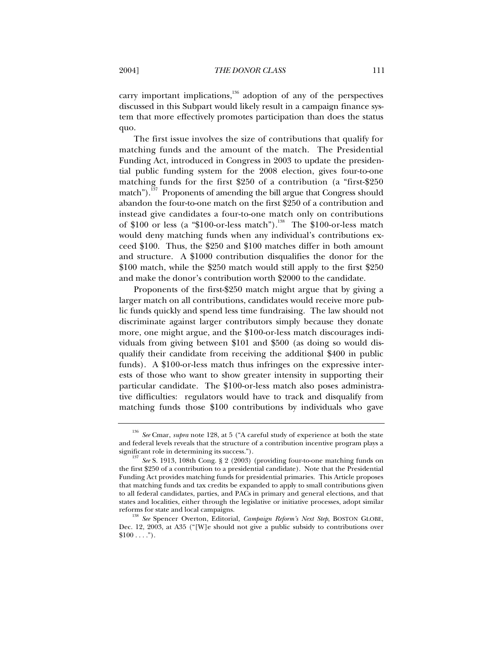carry important implications, $136$  adoption of any of the perspectives discussed in this Subpart would likely result in a campaign finance system that more effectively promotes participation than does the status quo.

The first issue involves the size of contributions that qualify for matching funds and the amount of the match. The Presidential Funding Act, introduced in Congress in 2003 to update the presidential public funding system for the 2008 election, gives four-to-one matching funds for the first \$250 of a contribution (a "first-\$250 match").<sup>137</sup> Proponents of amending the bill argue that Congress should abandon the four-to-one match on the first \$250 of a contribution and instead give candidates a four-to-one match only on contributions of \$100 or less (a "\$100-or-less match").<sup>138</sup> The \$100-or-less match would deny matching funds when any individual's contributions exceed \$100. Thus, the \$250 and \$100 matches differ in both amount and structure. A \$1000 contribution disqualifies the donor for the \$100 match, while the \$250 match would still apply to the first \$250 and make the donor's contribution worth \$2000 to the candidate.

Proponents of the first-\$250 match might argue that by giving a larger match on all contributions, candidates would receive more public funds quickly and spend less time fundraising. The law should not discriminate against larger contributors simply because they donate more, one might argue, and the \$100-or-less match discourages individuals from giving between \$101 and \$500 (as doing so would disqualify their candidate from receiving the additional \$400 in public funds). A \$100-or-less match thus infringes on the expressive interests of those who want to show greater intensity in supporting their particular candidate. The \$100-or-less match also poses administrative difficulties: regulators would have to track and disqualify from matching funds those \$100 contributions by individuals who gave

<sup>136</sup> *See* Cmar, *supra* note 128, at 5 ("A careful study of experience at both the state and federal levels reveals that the structure of a contribution incentive program plays a significant role in determining its success.").

<sup>&</sup>lt;sup>137</sup> See S. 1913, 108th Cong. § 2 (2003) (providing four-to-one matching funds on the first \$250 of a contribution to a presidential candidate). Note that the Presidential Funding Act provides matching funds for presidential primaries. This Article proposes that matching funds and tax credits be expanded to apply to small contributions given to all federal candidates, parties, and PACs in primary and general elections, and that states and localities, either through the legislative or initiative processes, adopt similar reforms for state and local campaigns.

<sup>138</sup> *See* Spencer Overton, Editorial, *Campaign Reform's Next Step*, BOSTON GLOBE, Dec. 12, 2003, at A35 ("[W]e should not give a public subsidy to contributions over  $$100 \ldots$ ").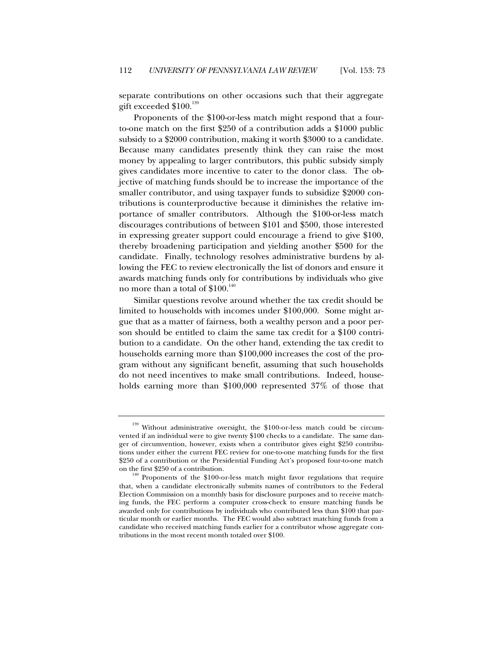separate contributions on other occasions such that their aggregate gift exceeded  $$100.<sup>139</sup>$ 

Proponents of the \$100-or-less match might respond that a fourto-one match on the first \$250 of a contribution adds a \$1000 public subsidy to a \$2000 contribution, making it worth \$3000 to a candidate. Because many candidates presently think they can raise the most money by appealing to larger contributors, this public subsidy simply gives candidates more incentive to cater to the donor class. The objective of matching funds should be to increase the importance of the smaller contributor, and using taxpayer funds to subsidize \$2000 contributions is counterproductive because it diminishes the relative importance of smaller contributors. Although the \$100-or-less match discourages contributions of between \$101 and \$500, those interested in expressing greater support could encourage a friend to give \$100, thereby broadening participation and yielding another \$500 for the candidate. Finally, technology resolves administrative burdens by allowing the FEC to review electronically the list of donors and ensure it awards matching funds only for contributions by individuals who give no more than a total of  $$100.<sup>140</sup>$ 

Similar questions revolve around whether the tax credit should be limited to households with incomes under \$100,000. Some might argue that as a matter of fairness, both a wealthy person and a poor person should be entitled to claim the same tax credit for a \$100 contribution to a candidate. On the other hand, extending the tax credit to households earning more than \$100,000 increases the cost of the program without any significant benefit, assuming that such households do not need incentives to make small contributions. Indeed, households earning more than \$100,000 represented 37% of those that

<sup>&</sup>lt;sup>139</sup> Without administrative oversight, the \$100-or-less match could be circumvented if an individual were to give twenty \$100 checks to a candidate. The same danger of circumvention, however, exists when a contributor gives eight \$250 contributions under either the current FEC review for one-to-one matching funds for the first \$250 of a contribution or the Presidential Funding Act's proposed four-to-one match

on the first \$250 of a contribution. 140 Proponents of the \$100-or-less match might favor regulations that require that, when a candidate electronically submits names of contributors to the Federal Election Commission on a monthly basis for disclosure purposes and to receive matching funds, the FEC perform a computer cross-check to ensure matching funds be awarded only for contributions by individuals who contributed less than \$100 that particular month or earlier months. The FEC would also subtract matching funds from a candidate who received matching funds earlier for a contributor whose aggregate contributions in the most recent month totaled over \$100.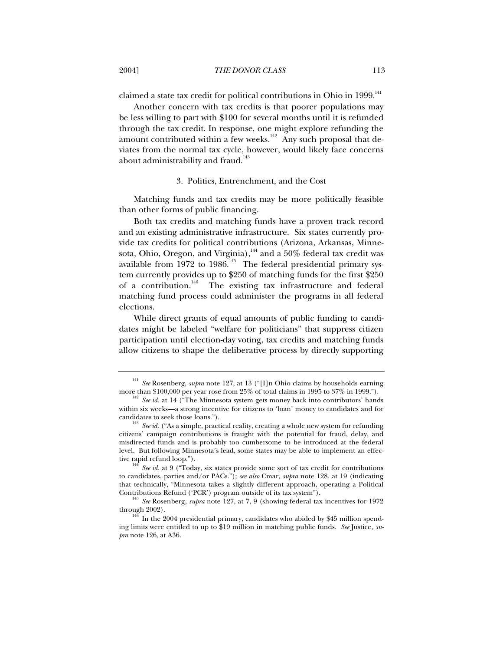claimed a state tax credit for political contributions in Ohio in 1999.<sup>141</sup>

Another concern with tax credits is that poorer populations may be less willing to part with \$100 for several months until it is refunded through the tax credit. In response, one might explore refunding the amount contributed within a few weeks.<sup>142</sup> Any such proposal that deviates from the normal tax cycle, however, would likely face concerns about administrability and fraud.<sup>143</sup>

#### 3. Politics, Entrenchment, and the Cost

Matching funds and tax credits may be more politically feasible than other forms of public financing.

Both tax credits and matching funds have a proven track record and an existing administrative infrastructure. Six states currently provide tax credits for political contributions (Arizona, Arkansas, Minnesota, Ohio, Oregon, and Virginia), $^{\rm 144}$  and a  $50\%$  federal tax credit was available from  $1972$  to  $1986$ .<sup>145</sup> The federal presidential primary system currently provides up to \$250 of matching funds for the first \$250 of a contribution.<sup>146</sup> The existing tax infrastructure and federal matching fund process could administer the programs in all federal elections.

While direct grants of equal amounts of public funding to candidates might be labeled "welfare for politicians" that suppress citizen participation until election-day voting, tax credits and matching funds allow citizens to shape the deliberative process by directly supporting

<sup>141</sup> *See* Rosenberg, *supra* note 127, at 13 ("[I]n Ohio claims by households earning more than \$100,000 per year rose from 25% of total claims in 1995 to 37% in 1999.").

 $\frac{42}{2}$  *See id.* at 14 ("The Minnesota system gets money back into contributors' hands within six weeks—a strong incentive for citizens to 'loan' money to candidates and for

candidates to seek those loans.").  $^{143}$   $\it See$   $id.$  ("As a simple, practical reality, creating a whole new system for refunding citizens' campaign contributions is fraught with the potential for fraud, delay, and misdirected funds and is probably too cumbersome to be introduced at the federal level. But following Minnesota's lead, some states may be able to implement an effective rapid refund loop.").<br><sup>144</sup> *See id.* at 9 ("Today, six states provide some sort of tax credit for contributions

to candidates, parties and/or PACs."); *see also* Cmar, *supra* note 128, at 19 (indicating that technically, "Minnesota takes a slightly different approach, operating a Political Contributions Refund ('PCR') program outside of its tax system").

<sup>145</sup> *See* Rosenberg, *supra* note 127, at 7, 9 (showing federal tax incentives for 1972 through 2002).

In the 2004 presidential primary, candidates who abided by \$45 million spending limits were entitled to up to \$19 million in matching public funds. *See* Justice*, supra* note 126, at A36.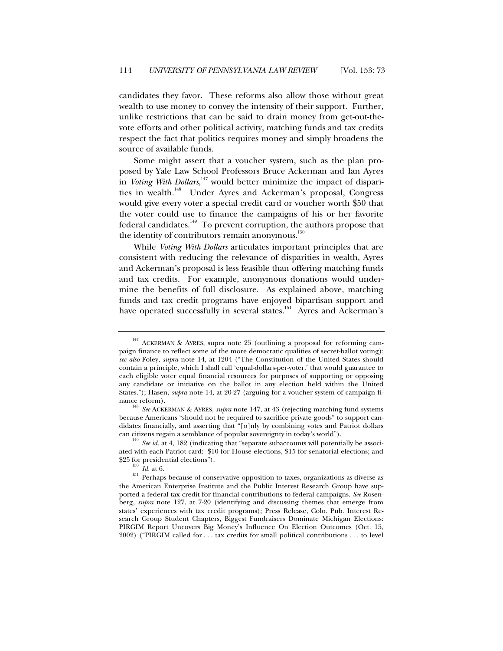candidates they favor. These reforms also allow those without great wealth to use money to convey the intensity of their support. Further, unlike restrictions that can be said to drain money from get-out-thevote efforts and other political activity, matching funds and tax credits respect the fact that politics requires money and simply broadens the source of available funds.

Some might assert that a voucher system, such as the plan proposed by Yale Law School Professors Bruce Ackerman and Ian Ayres in *Voting With Dollars*, 147 would better minimize the impact of disparities in wealth.<sup>148</sup> Under Ayres and Ackerman's proposal, Congress would give every voter a special credit card or voucher worth \$50 that the voter could use to finance the campaigns of his or her favorite federal candidates.<sup>149</sup> To prevent corruption, the authors propose that the identity of contributors remain anonymous. $^{150}$ 

While *Voting With Dollars* articulates important principles that are consistent with reducing the relevance of disparities in wealth, Ayres and Ackerman's proposal is less feasible than offering matching funds and tax credits. For example, anonymous donations would undermine the benefits of full disclosure. As explained above, matching funds and tax credit programs have enjoyed bipartisan support and have operated successfully in several states.<sup>151</sup> Ayres and Ackerman's

<sup>&</sup>lt;sup>147</sup> ACKERMAN & AYRES, supra note 25 (outlining a proposal for reforming campaign finance to reflect some of the more democratic qualities of secret-ballot voting); *see also* Foley, *supra* note 14, at 1204 ("The Constitution of the United States should contain a principle, which I shall call 'equal-dollars-per-voter,' that would guarantee to each eligible voter equal financial resources for purposes of supporting or opposing any candidate or initiative on the ballot in any election held within the United States."); Hasen, *supra* note 14, at 20-27 (arguing for a voucher system of campaign finance reform).

<sup>148</sup> *See* ACKERMAN & AYRES, *supra* note 147, at 43 (rejecting matching fund systems because Americans "should not be required to sacrifice private goods" to support candidates financially, and asserting that "[o]nly by combining votes and Patriot dollars can citizens regain a semblance of popular sovereignty in today's world"). <sup>149</sup> *See id.* at 4, 182 (indicating that "separate subaccounts will potentially be associ-

ated with each Patriot card: \$10 for House elections, \$15 for senatorial elections; and \$25 for presidential elections").

<sup>150</sup> *Id.* at 6.

<sup>&</sup>lt;sup>151</sup> Perhaps because of conservative opposition to taxes, organizations as diverse as the American Enterprise Institute and the Public Interest Research Group have supported a federal tax credit for financial contributions to federal campaigns. *See* Rosenberg, *supra* note 127, at 7-20 (identifying and discussing themes that emerge from states' experiences with tax credit programs); Press Release, Colo. Pub. Interest Research Group Student Chapters, Biggest Fundraisers Dominate Michigan Elections: PIRGIM Report Uncovers Big Money's Influence On Election Outcomes (Oct. 15, 2002) ("PIRGIM called for . . . tax credits for small political contributions . . . to level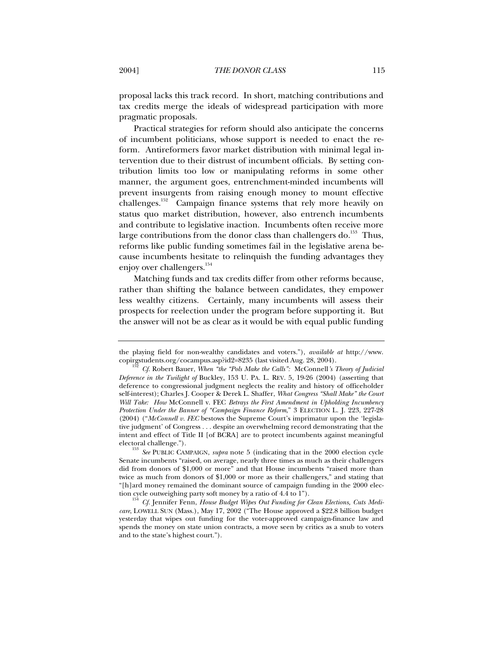proposal lacks this track record. In short, matching contributions and tax credits merge the ideals of widespread participation with more pragmatic proposals.

Practical strategies for reform should also anticipate the concerns of incumbent politicians, whose support is needed to enact the reform. Antireformers favor market distribution with minimal legal intervention due to their distrust of incumbent officials. By setting contribution limits too low or manipulating reforms in some other manner, the argument goes, entrenchment-minded incumbents will prevent insurgents from raising enough money to mount effective challenges.<sup>152</sup> Campaign finance systems that rely more heavily on status quo market distribution, however, also entrench incumbents and contribute to legislative inaction. Incumbents often receive more large contributions from the donor class than challengers do. $^{153}$  Thus, reforms like public funding sometimes fail in the legislative arena because incumbents hesitate to relinquish the funding advantages they enjoy over challengers.<sup>154</sup>

Matching funds and tax credits differ from other reforms because, rather than shifting the balance between candidates, they empower less wealthy citizens. Certainly, many incumbents will assess their prospects for reelection under the program before supporting it. But the answer will not be as clear as it would be with equal public funding

the playing field for non-wealthy candidates and voters."), *available at* http://www. copirgstudents.org/cocampus.asp?id2=8235 (last visited Aug. 28, 2004). <sup>152</sup> *Cf.* Robert Bauer, *When "the "Pols Make the Calls":* McConnell*'s Theory of Judicial*

*Deference in the Twilight of* Buckley, 153 U. PA. L. REV. 5, 19-26 (2004) (asserting that deference to congressional judgment neglects the reality and history of officeholder self-interest); Charles J. Cooper & Derek L. Shaffer, *What Congress "Shall Make" the Court Will Take: How* McConnell v. FEC *Betrays the First Amendment in Upholding Incumbency Protection Under the Banner of "Campaign Finance Reform*," 3 ELECTION L. J. 223, 227-28 (2004) ("*McConnell v. FEC* bestows the Supreme Court's imprimatur upon the 'legislative judgment' of Congress . . . despite an overwhelming record demonstrating that the intent and effect of Title II [of BCRA] are to protect incumbents against meaningful electoral challenge.").

<sup>153</sup> *See* PUBLIC CAMPAIGN, *supra* note 5 (indicating that in the 2000 election cycle Senate incumbents "raised, on average, nearly three times as much as their challengers did from donors of \$1,000 or more" and that House incumbents "raised more than twice as much from donors of \$1,000 or more as their challengers," and stating that "[h]ard money remained the dominant source of campaign funding in the 2000 election cycle outweighing party soft money by a ratio of 4.4 to 1").<br><sup>154</sup> *Cf.* Jennifer Fenn, *House Budget Wipes Out Funding for Clean Elections, Cuts Medi-*

*care*, LOWELL SUN (Mass.), May 17, 2002 ("The House approved a \$22.8 billion budget yesterday that wipes out funding for the voter-approved campaign-finance law and spends the money on state union contracts, a move seen by critics as a snub to voters and to the state's highest court.").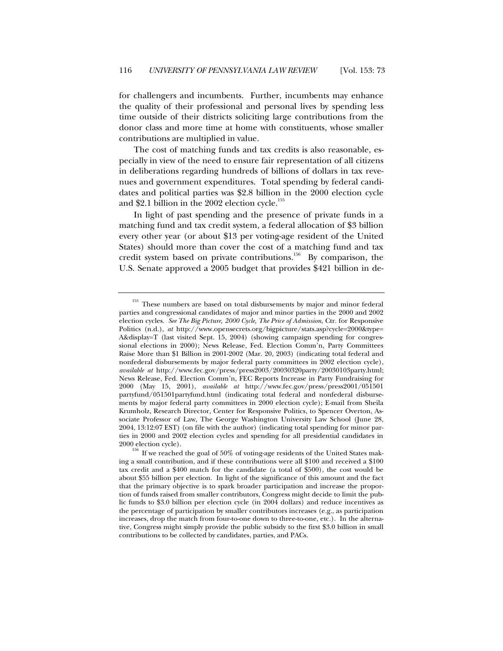for challengers and incumbents. Further, incumbents may enhance the quality of their professional and personal lives by spending less time outside of their districts soliciting large contributions from the donor class and more time at home with constituents, whose smaller contributions are multiplied in value.

The cost of matching funds and tax credits is also reasonable, especially in view of the need to ensure fair representation of all citizens in deliberations regarding hundreds of billions of dollars in tax revenues and government expenditures. Total spending by federal candidates and political parties was \$2.8 billion in the 2000 election cycle and \$2.1 billion in the 2002 election cycle.<sup>155</sup>

In light of past spending and the presence of private funds in a matching fund and tax credit system, a federal allocation of \$3 billion every other year (or about \$13 per voting-age resident of the United States) should more than cover the cost of a matching fund and tax credit system based on private contributions.<sup>156</sup> By comparison, the U.S. Senate approved a 2005 budget that provides \$421 billion in de-

<sup>&</sup>lt;sup>155</sup> These numbers are based on total disbursements by major and minor federal parties and congressional candidates of major and minor parties in the 2000 and 2002 election cycles. *See The Big Picture, 2000 Cycle, The Price of Admission*, Ctr. for Responsive Politics (n.d.), *at* http://www.opensecrets.org/bigpicture/stats.asp?cycle=2000&type= A&display=T (last visited Sept. 15, 2004) (showing campaign spending for congressional elections in 2000); News Release, Fed. Election Comm'n, Party Committees Raise More than \$1 Billion in 2001-2002 (Mar. 20, 2003) (indicating total federal and nonfederal disbursements by major federal party committees in 2002 election cycle), *available at* http://www.fec.gov/press/press2003/20030320party/20030103party.html; News Release, Fed. Election Comm'n, FEC Reports Increase in Party Fundraising for 2000 (May 15, 2001), *available at* http://www.fec.gov/press/press2001/051501 partyfund/051501partyfund.html (indicating total federal and nonfederal disbursements by major federal party committees in 2000 election cycle); E-mail from Sheila Krumholz, Research Director, Center for Responsive Politics, to Spencer Overton, Associate Professor of Law, The George Washington University Law School (June 28, 2004, 13:12:07 EST) (on file with the author) (indicating total spending for minor parties in 2000 and 2002 election cycles and spending for all presidential candidates in

<sup>2000</sup> election cycle).<br><sup>156</sup> If we reached the goal of 50% of voting-age residents of the United States making a small contribution, and if these contributions were all \$100 and received a \$100 tax credit and a \$400 match for the candidate (a total of \$500), the cost would be about \$55 billion per election. In light of the significance of this amount and the fact that the primary objective is to spark broader participation and increase the proportion of funds raised from smaller contributors, Congress might decide to limit the public funds to \$3.0 billion per election cycle (in 2004 dollars) and reduce incentives as the percentage of participation by smaller contributors increases (e.g., as participation increases, drop the match from four-to-one down to three-to-one, etc.). In the alternative, Congress might simply provide the public subsidy to the first \$3.0 billion in small contributions to be collected by candidates, parties, and PACs.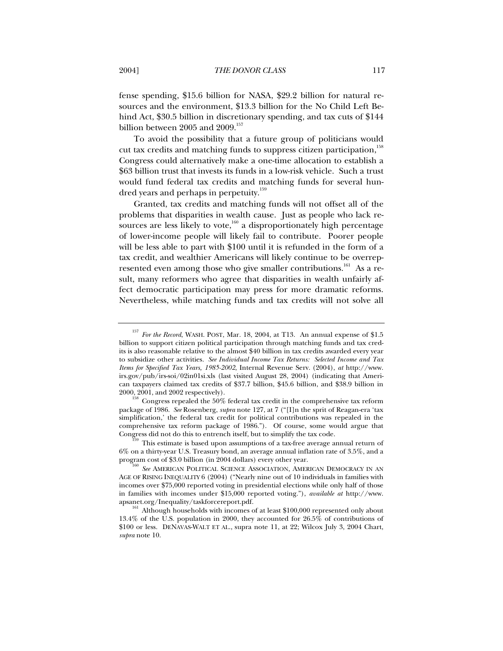fense spending, \$15.6 billion for NASA, \$29.2 billion for natural resources and the environment, \$13.3 billion for the No Child Left Behind Act, \$30.5 billion in discretionary spending, and tax cuts of \$144 billion between 2005 and 2009.<sup>157</sup>

To avoid the possibility that a future group of politicians would cut tax credits and matching funds to suppress citizen participation,<sup>158</sup> Congress could alternatively make a one-time allocation to establish a \$63 billion trust that invests its funds in a low-risk vehicle. Such a trust would fund federal tax credits and matching funds for several hundred years and perhaps in perpetuity.<sup>159</sup>

Granted, tax credits and matching funds will not offset all of the problems that disparities in wealth cause. Just as people who lack resources are less likely to vote, $160$  a disproportionately high percentage of lower-income people will likely fail to contribute. Poorer people will be less able to part with \$100 until it is refunded in the form of a tax credit, and wealthier Americans will likely continue to be overrepresented even among those who give smaller contributions.<sup>161</sup> As a result, many reformers who agree that disparities in wealth unfairly affect democratic participation may press for more dramatic reforms. Nevertheless, while matching funds and tax credits will not solve all

package of 1986. *See* Rosenberg, *supra* note 127, at 7 ("[I]n the sprit of Reagan-era 'tax simplification,' the federal tax credit for political contributions was repealed in the comprehensive tax reform package of 1986."). Of course, some would argue that

<sup>157</sup> *For the Record*, WASH. POST, Mar. 18, 2004, at T13. An annual expense of \$1.5 billion to support citizen political participation through matching funds and tax credits is also reasonable relative to the almost \$40 billion in tax credits awarded every year to subsidize other activities. *See Individual Income Tax Returns: Selected Income and Tax Items for Specified Tax Years, 1985-2002*, Internal Revenue Serv. (2004), *at* http://www. irs.gov/pub/irs-soi/02in01si.xls (last visited August 28, 2004) (indicating that American taxpayers claimed tax credits of \$37.7 billion, \$45.6 billion, and \$38.9 billion in 2000, 2001, and 2002 respectively).<br><sup>158</sup> Congress repealed the 50% federal tax credit in the comprehensive tax reform

This estimate is based upon assumptions of a tax-free average annual return of 6% on a thirty-year U.S. Treasury bond, an average annual inflation rate of 3.5%, and a program cost of \$3.0 billion (in 2004 dollars) every other year.

**See AMERICAN POLITICAL SCIENCE ASSOCIATION, AMERICAN DEMOCRACY IN AN** AGE OF RISING INEQUALITY 6 (2004) ("Nearly nine out of 10 individuals in families with incomes over \$75,000 reported voting in presidential elections while only half of those in families with incomes under \$15,000 reported voting."), *available at* http://www. apsanet.org/Inequality/taskforcereport.pdf.

<sup>&</sup>lt;sup>161</sup> Although households with incomes of at least \$100,000 represented only about 13.4% of the U.S. population in 2000, they accounted for 26.5% of contributions of \$100 or less. DENAVAS-WALT ET AL., supra note 11, at 22; Wilcox July 3, 2004 Chart, *supra* note 10.